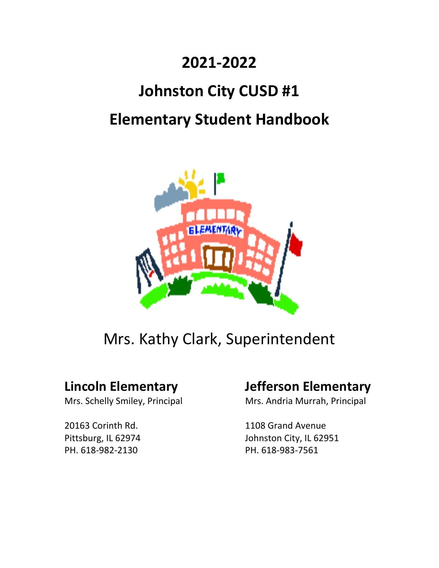# **2021‐2022**

# **Johnston City CUSD #1**

# **Elementary Student Handbook**



Mrs. Kathy Clark, Superintendent

PH. 618‐982‐2130 PH. 618‐983‐7561

## **Lincoln Elementary Jefferson Elementary**

Mrs. Schelly Smiley, Principal **Mrs. Andria Murrah, Principal** 

20163 Corinth Rd. 1108 Grand Avenue Pittsburg, IL 62974 Johnston City, IL 62951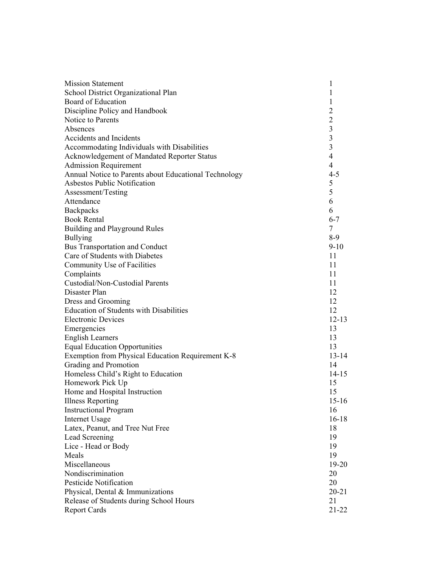| <b>Mission Statement</b>                              | 1                       |
|-------------------------------------------------------|-------------------------|
| School District Organizational Plan                   | 1                       |
| Board of Education                                    | 1                       |
| Discipline Policy and Handbook                        | $\overline{2}$          |
| Notice to Parents                                     | $\overline{c}$          |
| Absences                                              | $\mathfrak{Z}$          |
| Accidents and Incidents                               | 3                       |
| Accommodating Individuals with Disabilities           | $\overline{\mathbf{3}}$ |
| Acknowledgement of Mandated Reporter Status           | $\overline{4}$          |
| <b>Admission Requirement</b>                          | $\overline{4}$          |
| Annual Notice to Parents about Educational Technology | $4 - 5$                 |
| Asbestos Public Notification                          | 5                       |
| Assessment/Testing                                    | 5                       |
| Attendance                                            | 6                       |
| Backpacks                                             | 6                       |
| <b>Book Rental</b>                                    | $6 - 7$                 |
| Building and Playground Rules                         | 7                       |
| <b>Bullying</b>                                       | $8-9$                   |
| <b>Bus Transportation and Conduct</b>                 | $9-10$                  |
| Care of Students with Diabetes                        | 11                      |
| Community Use of Facilities                           | 11                      |
| Complaints                                            | 11                      |
| Custodial/Non-Custodial Parents                       | 11                      |
| Disaster Plan                                         | 12                      |
| Dress and Grooming                                    | 12                      |
| <b>Education of Students with Disabilities</b>        | 12                      |
| <b>Electronic Devices</b>                             | $12 - 13$               |
| Emergencies                                           | 13                      |
| <b>English Learners</b>                               | 13                      |
| <b>Equal Education Opportunities</b>                  | 13                      |
| Exemption from Physical Education Requirement K-8     | $13 - 14$               |
| Grading and Promotion                                 | 14                      |
| Homeless Child's Right to Education                   | $14 - 15$               |
| Homework Pick Up                                      | 15                      |
| Home and Hospital Instruction                         | 15                      |
| <b>Illness Reporting</b>                              | $15-16$                 |
| <b>Instructional Program</b>                          | 16                      |
| Internet Usage                                        | $16-18$                 |
| Latex, Peanut, and Tree Nut Free                      | 18                      |
| Lead Screening                                        | 19                      |
| Lice - Head or Body                                   | 19                      |
| Meals                                                 | 19                      |
| Miscellaneous                                         | 19-20                   |
| Nondiscrimination                                     | 20                      |
| <b>Pesticide Notification</b>                         | 20                      |
| Physical, Dental & Immunizations                      | $20 - 21$               |
| Release of Students during School Hours               | 21                      |
| <b>Report Cards</b>                                   | 21-22                   |
|                                                       |                         |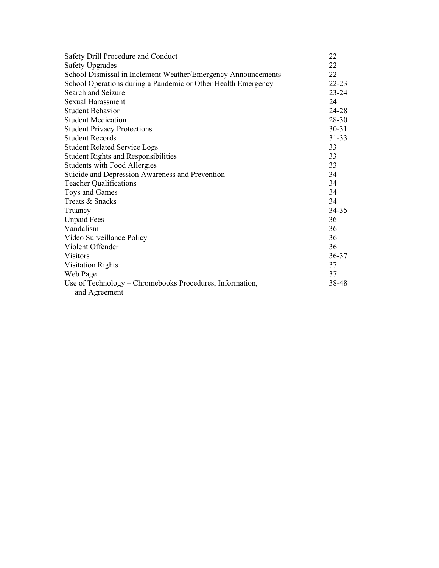| Safety Drill Procedure and Conduct                                        | 22        |
|---------------------------------------------------------------------------|-----------|
| <b>Safety Upgrades</b>                                                    | 22        |
| School Dismissal in Inclement Weather/Emergency Announcements             | 22        |
| School Operations during a Pandemic or Other Health Emergency             | $22 - 23$ |
| Search and Seizure                                                        | $23 - 24$ |
| Sexual Harassment                                                         | 24        |
| <b>Student Behavior</b>                                                   | 24-28     |
| <b>Student Medication</b>                                                 | 28-30     |
| <b>Student Privacy Protections</b>                                        | $30 - 31$ |
| <b>Student Records</b>                                                    | $31 - 33$ |
| <b>Student Related Service Logs</b>                                       | 33        |
| <b>Student Rights and Responsibilities</b>                                | 33        |
| <b>Students with Food Allergies</b>                                       | 33        |
| Suicide and Depression Awareness and Prevention                           | 34        |
| <b>Teacher Qualifications</b>                                             | 34        |
| Toys and Games                                                            | 34        |
| Treats & Snacks                                                           | 34        |
| Truancy                                                                   | 34-35     |
| <b>Unpaid Fees</b>                                                        | 36        |
| Vandalism                                                                 | 36        |
| Video Surveillance Policy                                                 | 36        |
| Violent Offender                                                          | 36        |
| <b>Visitors</b>                                                           | $36 - 37$ |
| <b>Visitation Rights</b>                                                  | 37        |
| Web Page                                                                  | 37        |
| Use of Technology – Chromebooks Procedures, Information,<br>and Agreement | 38-48     |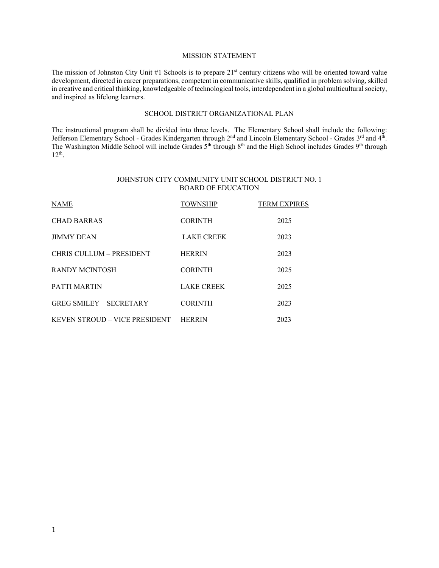#### MISSION STATEMENT

The mission of Johnston City Unit #1 Schools is to prepare 21<sup>st</sup> century citizens who will be oriented toward value development, directed in career preparations, competent in communicative skills, qualified in problem solving, skilled in creative and critical thinking, knowledgeable of technological tools, interdependent in a global multicultural society, and inspired as lifelong learners.

#### SCHOOL DISTRICT ORGANIZATIONAL PLAN

The instructional program shall be divided into three levels. The Elementary School shall include the following: Jefferson Elementary School - Grades Kindergarten through 2<sup>nd</sup> and Lincoln Elementary School - Grades 3<sup>rd</sup> and 4<sup>th</sup>. The Washington Middle School will include Grades 5<sup>th</sup> through 8<sup>th</sup> and the High School includes Grades 9<sup>th</sup> through 8th through 8th and the High School includes Grades 9<sup>th</sup> through 12th.

#### JOHNSTON CITY COMMUNITY UNIT SCHOOL DISTRICT NO. 1 BOARD OF EDUCATION

| <b>NAME</b>                    | <b>TOWNSHIP</b>   | <b>TERM EXPIRES</b> |
|--------------------------------|-------------------|---------------------|
| <b>CHAD BARRAS</b>             | <b>CORINTH</b>    | 2025                |
| <b>JIMMY DEAN</b>              | <b>LAKE CREEK</b> | 2023                |
| CHRIS CULLUM - PRESIDENT       | <b>HERRIN</b>     | 2023                |
| <b>RANDY MCINTOSH</b>          | <b>CORINTH</b>    | 2025                |
| PATTI MARTIN                   | <b>LAKE CREEK</b> | 2025                |
| <b>GREG SMILEY – SECRETARY</b> | <b>CORINTH</b>    | 2023                |
| KEVEN STROUD – VICE PRESIDENT  | <b>HERRIN</b>     | 2023                |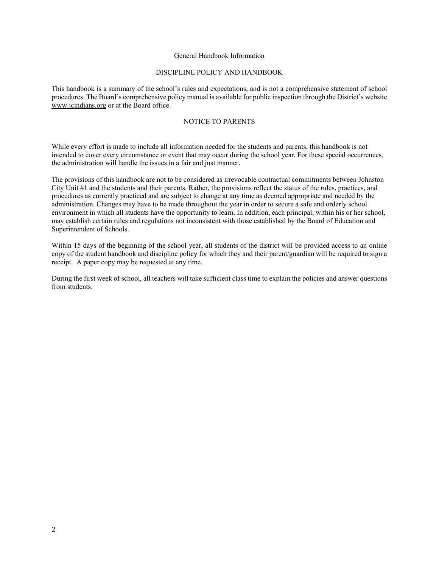#### General Handbook Information

#### DISCIPLINE POLICY AND HANDBOOK

This handbook is a summary of the school's rules and expectations, and is not a comprehensive statement of school procedures. The Board's comprehensive policy manual is available for public inspection through the District's website www.jcindians.org or at the Board office.

#### NOTICE TO PARENTS

While every effort is made to include all information needed for the students and parents, this handbook is not intended to cover every circumstance or event that may occur during the school year. For these special occurrences, the administration will handle the issues in a fair and just manner.

The provisions of this handbook are not to be considered as irrevocable contractual commitments between Johnston City Unit #1 and the students and their parents. Rather, the provisions reflect the status of the rules, practices, and procedures as currently practiced and are subject to change at any time as deemed appropriate and needed by the administration. Changes may have to be made throughout the year in order to secure a safe and orderly school environment in which all students have the opportunity to learn. In addition, each principal, within his or her school, may establish certain rules and regulations not inconsistent with those established by the Board of Education and Superintendent of Schools.

Within 15 days of the beginning of the school year, all students of the district will be provided access to an online copy of the student handbook and discipline policy for which they and their parent/guardian will be required to sign a receipt. A paper copy may be requested at any time.

During the first week of school, all teachers will take sufficient class time to explain the policies and answer questions from students.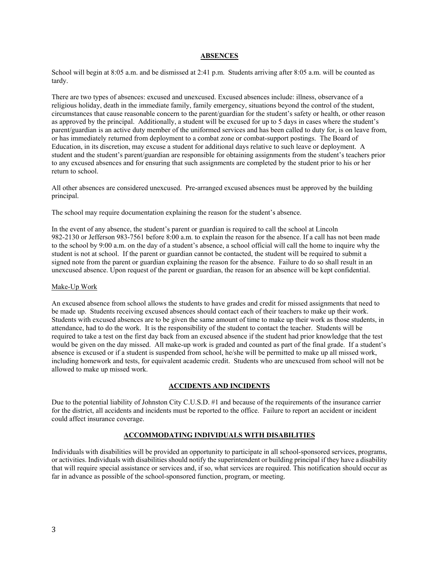#### **ABSENCES**

School will begin at 8:05 a.m. and be dismissed at 2:41 p.m. Students arriving after 8:05 a.m. will be counted as tardy.

There are two types of absences: excused and unexcused. Excused absences include: illness, observance of a religious holiday, death in the immediate family, family emergency, situations beyond the control of the student, circumstances that cause reasonable concern to the parent/guardian for the student's safety or health, or other reason as approved by the principal. Additionally, a student will be excused for up to 5 days in cases where the student's parent/guardian is an active duty member of the uniformed services and has been called to duty for, is on leave from, or has immediately returned from deployment to a combat zone or combat-support postings. The Board of Education, in its discretion, may excuse a student for additional days relative to such leave or deployment. A student and the student's parent/guardian are responsible for obtaining assignments from the student's teachers prior to any excused absences and for ensuring that such assignments are completed by the student prior to his or her return to school.

All other absences are considered unexcused. Pre-arranged excused absences must be approved by the building principal.

The school may require documentation explaining the reason for the student's absence.

In the event of any absence, the student's parent or guardian is required to call the school at Lincoln 982-2130 or Jefferson 983-7561 before 8:00 a.m. to explain the reason for the absence. If a call has not been made to the school by 9:00 a.m. on the day of a student's absence, a school official will call the home to inquire why the student is not at school. If the parent or guardian cannot be contacted, the student will be required to submit a signed note from the parent or guardian explaining the reason for the absence. Failure to do so shall result in an unexcused absence. Upon request of the parent or guardian, the reason for an absence will be kept confidential.

#### Make-Up Work

An excused absence from school allows the students to have grades and credit for missed assignments that need to be made up. Students receiving excused absences should contact each of their teachers to make up their work. Students with excused absences are to be given the same amount of time to make up their work as those students, in attendance, had to do the work. It is the responsibility of the student to contact the teacher. Students will be required to take a test on the first day back from an excused absence if the student had prior knowledge that the test would be given on the day missed. All make-up work is graded and counted as part of the final grade. If a student's absence is excused or if a student is suspended from school, he/she will be permitted to make up all missed work, including homework and tests, for equivalent academic credit. Students who are unexcused from school will not be allowed to make up missed work.

#### **ACCIDENTS AND INCIDENTS**

Due to the potential liability of Johnston City C.U.S.D. #1 and because of the requirements of the insurance carrier for the district, all accidents and incidents must be reported to the office. Failure to report an accident or incident could affect insurance coverage.

#### **ACCOMMODATING INDIVIDUALS WITH DISABILITIES**

Individuals with disabilities will be provided an opportunity to participate in all school-sponsored services, programs, or activities. Individuals with disabilities should notify the superintendent or building principal if they have a disability that will require special assistance or services and, if so, what services are required. This notification should occur as far in advance as possible of the school-sponsored function, program, or meeting.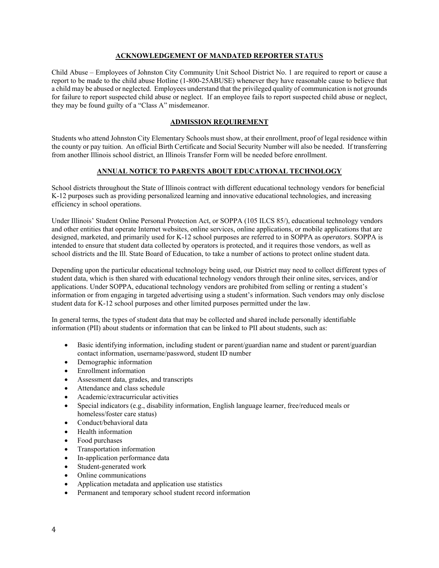#### **ACKNOWLEDGEMENT OF MANDATED REPORTER STATUS**

Child Abuse – Employees of Johnston City Community Unit School District No. 1 are required to report or cause a report to be made to the child abuse Hotline (1-800-25ABUSE) whenever they have reasonable cause to believe that a child may be abused or neglected. Employees understand that the privileged quality of communication is not grounds for failure to report suspected child abuse or neglect. If an employee fails to report suspected child abuse or neglect, they may be found guilty of a "Class A" misdemeanor.

#### **ADMISSION REQUIREMENT**

Students who attend Johnston City Elementary Schools must show, at their enrollment, proof of legal residence within the county or pay tuition. An official Birth Certificate and Social Security Number will also be needed. If transferring from another Illinois school district, an Illinois Transfer Form will be needed before enrollment.

#### **ANNUAL NOTICE TO PARENTS ABOUT EDUCATIONAL TECHNOLOGY**

School districts throughout the State of Illinois contract with different educational technology vendors for beneficial K-12 purposes such as providing personalized learning and innovative educational technologies, and increasing efficiency in school operations.

Under Illinois' Student Online Personal Protection Act, or SOPPA (105 ILCS 85/), educational technology vendors and other entities that operate Internet websites, online services, online applications, or mobile applications that are designed, marketed, and primarily used for K-12 school purposes are referred to in SOPPA as *operators*. SOPPA is intended to ensure that student data collected by operators is protected, and it requires those vendors, as well as school districts and the Ill. State Board of Education, to take a number of actions to protect online student data.

Depending upon the particular educational technology being used, our District may need to collect different types of student data, which is then shared with educational technology vendors through their online sites, services, and/or applications. Under SOPPA, educational technology vendors are prohibited from selling or renting a student's information or from engaging in targeted advertising using a student's information. Such vendors may only disclose student data for K-12 school purposes and other limited purposes permitted under the law.

In general terms, the types of student data that may be collected and shared include personally identifiable information (PII) about students or information that can be linked to PII about students, such as:

- Basic identifying information, including student or parent/guardian name and student or parent/guardian contact information, username/password, student ID number
- Demographic information
- Enrollment information
- Assessment data, grades, and transcripts
- Attendance and class schedule
- Academic/extracurricular activities
- Special indicators (e.g., disability information, English language learner, free/reduced meals or homeless/foster care status)
- Conduct/behavioral data
- Health information
- Food purchases
- Transportation information
- In-application performance data
- Student-generated work
- Online communications
- Application metadata and application use statistics
- Permanent and temporary school student record information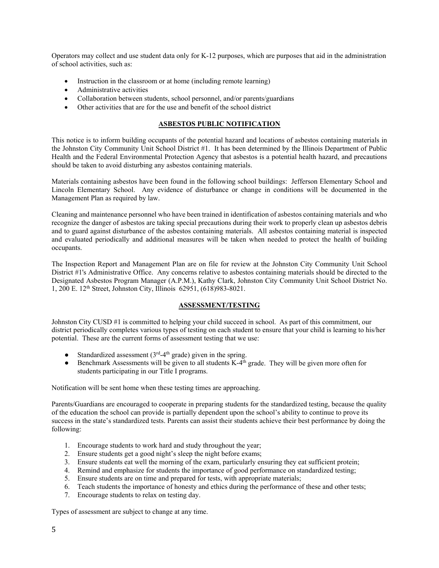Operators may collect and use student data only for K-12 purposes, which are purposes that aid in the administration of school activities, such as:

- Instruction in the classroom or at home (including remote learning)
- Administrative activities
- Collaboration between students, school personnel, and/or parents/guardians
- Other activities that are for the use and benefit of the school district

#### **ASBESTOS PUBLIC NOTIFICATION**

This notice is to inform building occupants of the potential hazard and locations of asbestos containing materials in the Johnston City Community Unit School District #1. It has been determined by the Illinois Department of Public Health and the Federal Environmental Protection Agency that asbestos is a potential health hazard, and precautions should be taken to avoid disturbing any asbestos containing materials.

Materials containing asbestos have been found in the following school buildings: Jefferson Elementary School and Lincoln Elementary School. Any evidence of disturbance or change in conditions will be documented in the Management Plan as required by law.

Cleaning and maintenance personnel who have been trained in identification of asbestos containing materials and who recognize the danger of asbestos are taking special precautions during their work to properly clean up asbestos debris and to guard against disturbance of the asbestos containing materials. All asbestos containing material is inspected and evaluated periodically and additional measures will be taken when needed to protect the health of building occupants.

The Inspection Report and Management Plan are on file for review at the Johnston City Community Unit School District #1's Administrative Office. Any concerns relative to asbestos containing materials should be directed to the Designated Asbestos Program Manager (A.P.M.), Kathy Clark, Johnston City Community Unit School District No. 1, 200 E. 12th Street, Johnston City, Illinois 62951, (618)983-8021.

#### **ASSESSMENT/TESTING**

Johnston City CUSD #1 is committed to helping your child succeed in school. As part of this commitment, our district periodically completes various types of testing on each student to ensure that your child is learning to his/her potential. These are the current forms of assessment testing that we use:

- Standardized assessment  $(3<sup>rd</sup>-4<sup>th</sup> \text{ grade})$  given in the spring.
- $\bullet$  Benchmark Assessments will be given to all students K-4<sup>th</sup> grade. They will be given more often for students participating in our Title I programs.

Notification will be sent home when these testing times are approaching.

Parents/Guardians are encouraged to cooperate in preparing students for the standardized testing, because the quality of the education the school can provide is partially dependent upon the school's ability to continue to prove its success in the state's standardized tests. Parents can assist their students achieve their best performance by doing the following:

- 1. Encourage students to work hard and study throughout the year;
- 2. Ensure students get a good night's sleep the night before exams;
- 3. Ensure students eat well the morning of the exam, particularly ensuring they eat sufficient protein;
- 4. Remind and emphasize for students the importance of good performance on standardized testing;
- 5. Ensure students are on time and prepared for tests, with appropriate materials;
- 6. Teach students the importance of honesty and ethics during the performance of these and other tests;
- 7. Encourage students to relax on testing day.

Types of assessment are subject to change at any time.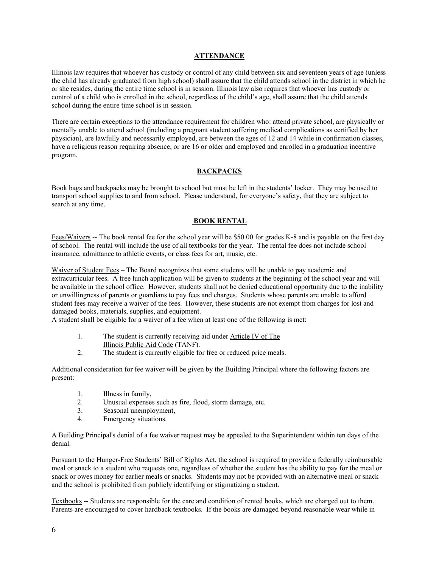#### **ATTENDANCE**

Illinois law requires that whoever has custody or control of any child between six and seventeen years of age (unless the child has already graduated from high school) shall assure that the child attends school in the district in which he or she resides, during the entire time school is in session. Illinois law also requires that whoever has custody or control of a child who is enrolled in the school, regardless of the child's age, shall assure that the child attends school during the entire time school is in session.

There are certain exceptions to the attendance requirement for children who: attend private school, are physically or mentally unable to attend school (including a pregnant student suffering medical complications as certified by her physician), are lawfully and necessarily employed, are between the ages of 12 and 14 while in confirmation classes, have a religious reason requiring absence, or are 16 or older and employed and enrolled in a graduation incentive program.

#### **BACKPACKS**

Book bags and backpacks may be brought to school but must be left in the students' locker. They may be used to transport school supplies to and from school. Please understand, for everyone's safety, that they are subject to search at any time.

#### **BOOK RENTAL**

Fees/Waivers -- The book rental fee for the school year will be \$50.00 for grades K-8 and is payable on the first day of school. The rental will include the use of all textbooks for the year. The rental fee does not include school insurance, admittance to athletic events, or class fees for art, music, etc.

Waiver of Student Fees – The Board recognizes that some students will be unable to pay academic and extracurricular fees. A free lunch application will be given to students at the beginning of the school year and will be available in the school office. However, students shall not be denied educational opportunity due to the inability or unwillingness of parents or guardians to pay fees and charges. Students whose parents are unable to afford student fees may receive a waiver of the fees. However, these students are not exempt from charges for lost and damaged books, materials, supplies, and equipment.

A student shall be eligible for a waiver of a fee when at least one of the following is met:

- 1. The student is currently receiving aid under Article IV of The
	- Illinois Public Aid Code (TANF).
- 2. The student is currently eligible for free or reduced price meals.

Additional consideration for fee waiver will be given by the Building Principal where the following factors are present:

- 1. Illness in family,
- 2. Unusual expenses such as fire, flood, storm damage, etc.
- 3. Seasonal unemployment,
- 4. Emergency situations.

A Building Principal's denial of a fee waiver request may be appealed to the Superintendent within ten days of the denial.

Pursuant to the Hunger-Free Students' Bill of Rights Act, the school is required to provide a federally reimbursable meal or snack to a student who requests one, regardless of whether the student has the ability to pay for the meal or snack or owes money for earlier meals or snacks. Students may not be provided with an alternative meal or snack and the school is prohibited from publicly identifying or stigmatizing a student.

Textbooks -- Students are responsible for the care and condition of rented books, which are charged out to them. Parents are encouraged to cover hardback textbooks. If the books are damaged beyond reasonable wear while in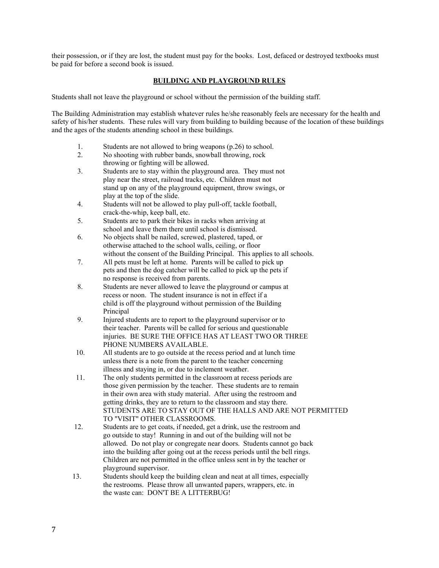their possession, or if they are lost, the student must pay for the books. Lost, defaced or destroyed textbooks must be paid for before a second book is issued.

#### **BUILDING AND PLAYGROUND RULES**

Students shall not leave the playground or school without the permission of the building staff.

The Building Administration may establish whatever rules he/she reasonably feels are necessary for the health and safety of his/her students. These rules will vary from building to building because of the location of these buildings and the ages of the students attending school in these buildings.

- 1. Students are not allowed to bring weapons (p.26) to school.
- 2. No shooting with rubber bands, snowball throwing, rock throwing or fighting will be allowed.
- 3. Students are to stay within the playground area. They must not play near the street, railroad tracks, etc. Children must not stand up on any of the playground equipment, throw swings, or play at the top of the slide.
- 4. Students will not be allowed to play pull-off, tackle football, crack-the-whip, keep ball, etc.
- 5. Students are to park their bikes in racks when arriving at school and leave them there until school is dismissed.
- 6. No objects shall be nailed, screwed, plastered, taped, or otherwise attached to the school walls, ceiling, or floor without the consent of the Building Principal. This applies to all schools.
- 7. All pets must be left at home. Parents will be called to pick up pets and then the dog catcher will be called to pick up the pets if no response is received from parents.
- 8. Students are never allowed to leave the playground or campus at recess or noon. The student insurance is not in effect if a child is off the playground without permission of the Building Principal
- 9. Injured students are to report to the playground supervisor or to their teacher. Parents will be called for serious and questionable injuries. BE SURE THE OFFICE HAS AT LEAST TWO OR THREE PHONE NUMBERS AVAILABLE.
- 10. All students are to go outside at the recess period and at lunch time unless there is a note from the parent to the teacher concerning illness and staying in, or due to inclement weather.
- 11. The only students permitted in the classroom at recess periods are those given permission by the teacher. These students are to remain in their own area with study material. After using the restroom and getting drinks, they are to return to the classroom and stay there. STUDENTS ARE TO STAY OUT OF THE HALLS AND ARE NOT PERMITTED TO "VISIT" OTHER CLASSROOMS.
- 12. Students are to get coats, if needed, get a drink, use the restroom and go outside to stay! Running in and out of the building will not be allowed. Do not play or congregate near doors. Students cannot go back into the building after going out at the recess periods until the bell rings. Children are not permitted in the office unless sent in by the teacher or playground supervisor.
- 13. Students should keep the building clean and neat at all times, especially the restrooms. Please throw all unwanted papers, wrappers, etc. in the waste can: DON'T BE A LITTERBUG!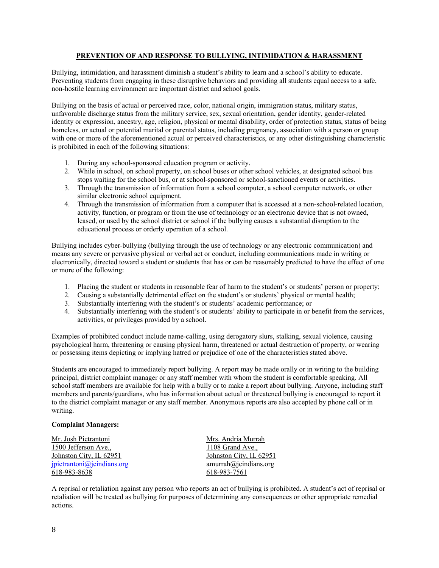#### **PREVENTION OF AND RESPONSE TO BULLYING, INTIMIDATION & HARASSMENT**

Bullying, intimidation, and harassment diminish a student's ability to learn and a school's ability to educate. Preventing students from engaging in these disruptive behaviors and providing all students equal access to a safe, non-hostile learning environment are important district and school goals.

Bullying on the basis of actual or perceived race, color, national origin, immigration status, military status, unfavorable discharge status from the military service, sex, sexual orientation, gender identity, gender-related identity or expression, ancestry, age, religion, physical or mental disability, order of protection status, status of being homeless, or actual or potential marital or parental status, including pregnancy, association with a person or group with one or more of the aforementioned actual or perceived characteristics, or any other distinguishing characteristic is prohibited in each of the following situations:

- 1. During any school-sponsored education program or activity.
- 2. While in school, on school property, on school buses or other school vehicles, at designated school bus stops waiting for the school bus, or at school-sponsored or school-sanctioned events or activities.
- 3. Through the transmission of information from a school computer, a school computer network, or other similar electronic school equipment.
- 4. Through the transmission of information from a computer that is accessed at a non-school-related location, activity, function, or program or from the use of technology or an electronic device that is not owned, leased, or used by the school district or school if the bullying causes a substantial disruption to the educational process or orderly operation of a school.

Bullying includes cyber-bullying (bullying through the use of technology or any electronic communication) and means any severe or pervasive physical or verbal act or conduct, including communications made in writing or electronically, directed toward a student or students that has or can be reasonably predicted to have the effect of one or more of the following:

- 1. Placing the student or students in reasonable fear of harm to the student's or students' person or property;
- 2. Causing a substantially detrimental effect on the student's or students' physical or mental health;
- 3. Substantially interfering with the student's or students' academic performance; or
- 4. Substantially interfering with the student's or students' ability to participate in or benefit from the services, activities, or privileges provided by a school.

Examples of prohibited conduct include name-calling, using derogatory slurs, stalking, sexual violence, causing psychological harm, threatening or causing physical harm, threatened or actual destruction of property, or wearing or possessing items depicting or implying hatred or prejudice of one of the characteristics stated above.

Students are encouraged to immediately report bullying. A report may be made orally or in writing to the building principal, district complaint manager or any staff member with whom the student is comfortable speaking. All school staff members are available for help with a bully or to make a report about bullying. Anyone, including staff members and parents/guardians, who has information about actual or threatened bullying is encouraged to report it to the district complaint manager or any staff member. Anonymous reports are also accepted by phone call or in writing.

#### **Complaint Managers:**

| Mr. Josh Pietrantoni       | Mrs. Andria Murrah      |
|----------------------------|-------------------------|
| 1500 Jefferson Ave.,       | 1108 Grand Ave.,        |
| Johnston City, IL 62951    | Johnston City, IL 62951 |
| ipietrantoni@jcindians.org | amurrah@icindians.org   |
| 618-983-8638               | 618-983-7561            |

A reprisal or retaliation against any person who reports an act of bullying is prohibited. A student's act of reprisal or retaliation will be treated as bullying for purposes of determining any consequences or other appropriate remedial actions.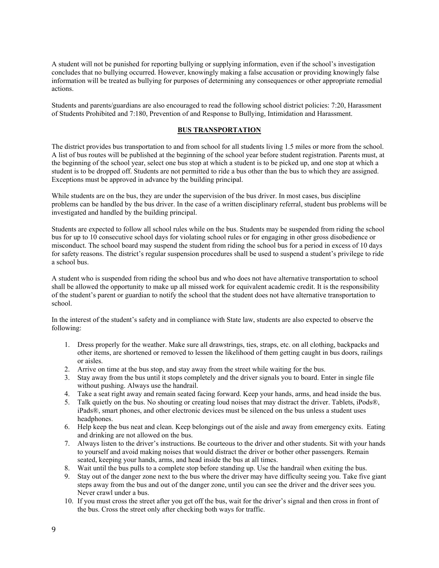A student will not be punished for reporting bullying or supplying information, even if the school's investigation concludes that no bullying occurred. However, knowingly making a false accusation or providing knowingly false information will be treated as bullying for purposes of determining any consequences or other appropriate remedial actions.

Students and parents/guardians are also encouraged to read the following school district policies: 7:20, Harassment of Students Prohibited and 7:180, Prevention of and Response to Bullying, Intimidation and Harassment.

#### **BUS TRANSPORTATION**

The district provides bus transportation to and from school for all students living 1.5 miles or more from the school. A list of bus routes will be published at the beginning of the school year before student registration. Parents must, at the beginning of the school year, select one bus stop at which a student is to be picked up, and one stop at which a student is to be dropped off. Students are not permitted to ride a bus other than the bus to which they are assigned. Exceptions must be approved in advance by the building principal.

While students are on the bus, they are under the supervision of the bus driver. In most cases, bus discipline problems can be handled by the bus driver. In the case of a written disciplinary referral, student bus problems will be investigated and handled by the building principal.

Students are expected to follow all school rules while on the bus. Students may be suspended from riding the school bus for up to 10 consecutive school days for violating school rules or for engaging in other gross disobedience or misconduct. The school board may suspend the student from riding the school bus for a period in excess of 10 days for safety reasons. The district's regular suspension procedures shall be used to suspend a student's privilege to ride a school bus.

A student who is suspended from riding the school bus and who does not have alternative transportation to school shall be allowed the opportunity to make up all missed work for equivalent academic credit. It is the responsibility of the student's parent or guardian to notify the school that the student does not have alternative transportation to school.

In the interest of the student's safety and in compliance with State law, students are also expected to observe the following:

- 1. Dress properly for the weather. Make sure all drawstrings, ties, straps, etc. on all clothing, backpacks and other items, are shortened or removed to lessen the likelihood of them getting caught in bus doors, railings or aisles.
- 2. Arrive on time at the bus stop, and stay away from the street while waiting for the bus.
- 3. Stay away from the bus until it stops completely and the driver signals you to board. Enter in single file without pushing. Always use the handrail.
- 4. Take a seat right away and remain seated facing forward. Keep your hands, arms, and head inside the bus.
- 5. Talk quietly on the bus. No shouting or creating loud noises that may distract the driver. Tablets, iPods®, iPads®, smart phones, and other electronic devices must be silenced on the bus unless a student uses headphones.
- 6. Help keep the bus neat and clean. Keep belongings out of the aisle and away from emergency exits. Eating and drinking are not allowed on the bus.
- 7. Always listen to the driver's instructions. Be courteous to the driver and other students. Sit with your hands to yourself and avoid making noises that would distract the driver or bother other passengers. Remain seated, keeping your hands, arms, and head inside the bus at all times.
- 8. Wait until the bus pulls to a complete stop before standing up. Use the handrail when exiting the bus.
- 9. Stay out of the danger zone next to the bus where the driver may have difficulty seeing you. Take five giant steps away from the bus and out of the danger zone, until you can see the driver and the driver sees you. Never crawl under a bus.
- 10. If you must cross the street after you get off the bus, wait for the driver's signal and then cross in front of the bus. Cross the street only after checking both ways for traffic.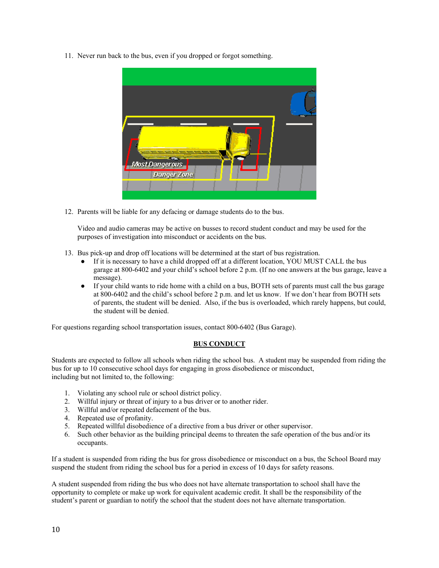11. Never run back to the bus, even if you dropped or forgot something.



12. Parents will be liable for any defacing or damage students do to the bus.

Video and audio cameras may be active on busses to record student conduct and may be used for the purposes of investigation into misconduct or accidents on the bus.

- 13. Bus pick-up and drop off locations will be determined at the start of bus registration.
	- If it is necessary to have a child dropped off at a different location, YOU MUST CALL the bus garage at 800-6402 and your child's school before 2 p.m. (If no one answers at the bus garage, leave a message).
	- If your child wants to ride home with a child on a bus, BOTH sets of parents must call the bus garage at 800-6402 and the child's school before 2 p.m. and let us know. If we don't hear from BOTH sets of parents, the student will be denied. Also, if the bus is overloaded, which rarely happens, but could, the student will be denied.

For questions regarding school transportation issues, contact 800-6402 (Bus Garage).

#### **BUS CONDUCT**

Students are expected to follow all schools when riding the school bus. A student may be suspended from riding the bus for up to 10 consecutive school days for engaging in gross disobedience or misconduct, including but not limited to, the following:

- 1. Violating any school rule or school district policy.
- 2. Willful injury or threat of injury to a bus driver or to another rider.
- 3. Willful and/or repeated defacement of the bus.
- 4. Repeated use of profanity.
- 5. Repeated willful disobedience of a directive from a bus driver or other supervisor.
- 6. Such other behavior as the building principal deems to threaten the safe operation of the bus and/or its occupants.

If a student is suspended from riding the bus for gross disobedience or misconduct on a bus, the School Board may suspend the student from riding the school bus for a period in excess of 10 days for safety reasons.

A student suspended from riding the bus who does not have alternate transportation to school shall have the opportunity to complete or make up work for equivalent academic credit. It shall be the responsibility of the student's parent or guardian to notify the school that the student does not have alternate transportation.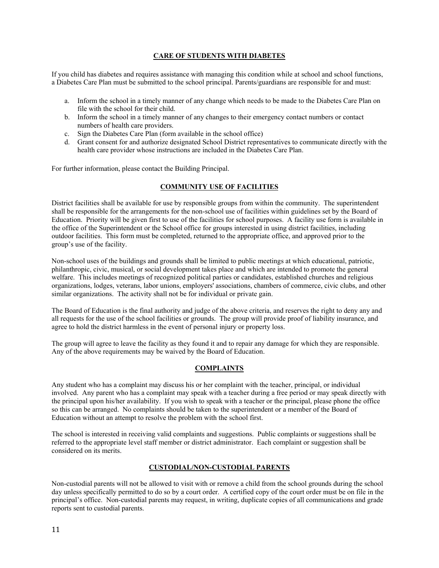#### **CARE OF STUDENTS WITH DIABETES**

If you child has diabetes and requires assistance with managing this condition while at school and school functions, a Diabetes Care Plan must be submitted to the school principal. Parents/guardians are responsible for and must:

- a. Inform the school in a timely manner of any change which needs to be made to the Diabetes Care Plan on file with the school for their child.
- b. Inform the school in a timely manner of any changes to their emergency contact numbers or contact numbers of health care providers.
- c. Sign the Diabetes Care Plan (form available in the school office)
- d. Grant consent for and authorize designated School District representatives to communicate directly with the health care provider whose instructions are included in the Diabetes Care Plan.

For further information, please contact the Building Principal.

#### **COMMUNITY USE OF FACILITIES**

District facilities shall be available for use by responsible groups from within the community. The superintendent shall be responsible for the arrangements for the non-school use of facilities within guidelines set by the Board of Education. Priority will be given first to use of the facilities for school purposes. A facility use form is available in the office of the Superintendent or the School office for groups interested in using district facilities, including outdoor facilities. This form must be completed, returned to the appropriate office, and approved prior to the group's use of the facility.

Non-school uses of the buildings and grounds shall be limited to public meetings at which educational, patriotic, philanthropic, civic, musical, or social development takes place and which are intended to promote the general welfare. This includes meetings of recognized political parties or candidates, established churches and religious organizations, lodges, veterans, labor unions, employers' associations, chambers of commerce, civic clubs, and other similar organizations. The activity shall not be for individual or private gain.

The Board of Education is the final authority and judge of the above criteria, and reserves the right to deny any and all requests for the use of the school facilities or grounds. The group will provide proof of liability insurance, and agree to hold the district harmless in the event of personal injury or property loss.

The group will agree to leave the facility as they found it and to repair any damage for which they are responsible. Any of the above requirements may be waived by the Board of Education.

#### **COMPLAINTS**

Any student who has a complaint may discuss his or her complaint with the teacher, principal, or individual involved. Any parent who has a complaint may speak with a teacher during a free period or may speak directly with the principal upon his/her availability. If you wish to speak with a teacher or the principal, please phone the office so this can be arranged. No complaints should be taken to the superintendent or a member of the Board of Education without an attempt to resolve the problem with the school first.

The school is interested in receiving valid complaints and suggestions. Public complaints or suggestions shall be referred to the appropriate level staff member or district administrator. Each complaint or suggestion shall be considered on its merits.

#### **CUSTODIAL/NON-CUSTODIAL PARENTS**

Non-custodial parents will not be allowed to visit with or remove a child from the school grounds during the school day unless specifically permitted to do so by a court order. A certified copy of the court order must be on file in the principal's office. Non-custodial parents may request, in writing, duplicate copies of all communications and grade reports sent to custodial parents.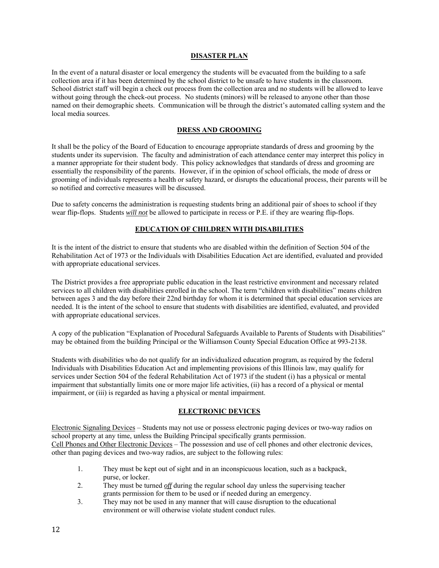#### **DISASTER PLAN**

In the event of a natural disaster or local emergency the students will be evacuated from the building to a safe collection area if it has been determined by the school district to be unsafe to have students in the classroom. School district staff will begin a check out process from the collection area and no students will be allowed to leave without going through the check-out process. No students (minors) will be released to anyone other than those named on their demographic sheets. Communication will be through the district's automated calling system and the local media sources.

#### **DRESS AND GROOMING**

It shall be the policy of the Board of Education to encourage appropriate standards of dress and grooming by the students under its supervision. The faculty and administration of each attendance center may interpret this policy in a manner appropriate for their student body. This policy acknowledges that standards of dress and grooming are essentially the responsibility of the parents. However, if in the opinion of school officials, the mode of dress or grooming of individuals represents a health or safety hazard, or disrupts the educational process, their parents will be so notified and corrective measures will be discussed.

Due to safety concerns the administration is requesting students bring an additional pair of shoes to school if they wear flip-flops. Students *will not* be allowed to participate in recess or P.E. if they are wearing flip-flops.

#### **EDUCATION OF CHILDREN WITH DISABILITIES**

It is the intent of the district to ensure that students who are disabled within the definition of Section 504 of the Rehabilitation Act of 1973 or the Individuals with Disabilities Education Act are identified, evaluated and provided with appropriate educational services.

The District provides a free appropriate public education in the least restrictive environment and necessary related services to all children with disabilities enrolled in the school. The term "children with disabilities" means children between ages 3 and the day before their 22nd birthday for whom it is determined that special education services are needed. It is the intent of the school to ensure that students with disabilities are identified, evaluated, and provided with appropriate educational services.

A copy of the publication "Explanation of Procedural Safeguards Available to Parents of Students with Disabilities" may be obtained from the building Principal or the Williamson County Special Education Office at 993-2138.

Students with disabilities who do not qualify for an individualized education program, as required by the federal Individuals with Disabilities Education Act and implementing provisions of this Illinois law, may qualify for services under Section 504 of the federal Rehabilitation Act of 1973 if the student (i) has a physical or mental impairment that substantially limits one or more major life activities, (ii) has a record of a physical or mental impairment, or (iii) is regarded as having a physical or mental impairment.

#### **ELECTRONIC DEVICES**

Electronic Signaling Devices – Students may not use or possess electronic paging devices or two-way radios on school property at any time, unless the Building Principal specifically grants permission. Cell Phones and Other Electronic Devices – The possession and use of cell phones and other electronic devices, other than paging devices and two-way radios, are subject to the following rules:

- 1. They must be kept out of sight and in an inconspicuous location, such as a backpack, purse, or locker.
- 2. They must be turned *off* during the regular school day unless the supervising teacher grants permission for them to be used or if needed during an emergency.
- 3. They may not be used in any manner that will cause disruption to the educational environment or will otherwise violate student conduct rules.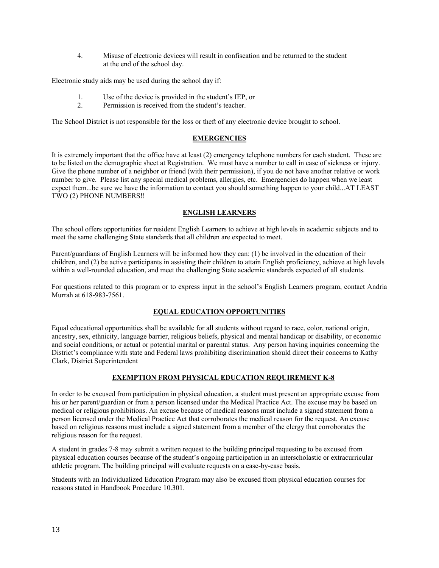4. Misuse of electronic devices will result in confiscation and be returned to the student at the end of the school day.

Electronic study aids may be used during the school day if:

- 1. Use of the device is provided in the student's IEP, or
- 2. Permission is received from the student's teacher.

The School District is not responsible for the loss or theft of any electronic device brought to school.

#### **EMERGENCIES**

It is extremely important that the office have at least (2) emergency telephone numbers for each student. These are to be listed on the demographic sheet at Registration. We must have a number to call in case of sickness or injury. Give the phone number of a neighbor or friend (with their permission), if you do not have another relative or work number to give. Please list any special medical problems, allergies, etc. Emergencies do happen when we least expect them...be sure we have the information to contact you should something happen to your child...AT LEAST TWO (2) PHONE NUMBERS!!

#### **ENGLISH LEARNERS**

The school offers opportunities for resident English Learners to achieve at high levels in academic subjects and to meet the same challenging State standards that all children are expected to meet.

Parent/guardians of English Learners will be informed how they can: (1) be involved in the education of their children, and (2) be active participants in assisting their children to attain English proficiency, achieve at high levels within a well-rounded education, and meet the challenging State academic standards expected of all students.

For questions related to this program or to express input in the school's English Learners program, contact Andria Murrah at 618-983-7561.

#### **EQUAL EDUCATION OPPORTUNITIES**

Equal educational opportunities shall be available for all students without regard to race, color, national origin, ancestry, sex, ethnicity, language barrier, religious beliefs, physical and mental handicap or disability, or economic and social conditions, or actual or potential marital or parental status. Any person having inquiries concerning the District's compliance with state and Federal laws prohibiting discrimination should direct their concerns to Kathy Clark, District Superintendent

#### **EXEMPTION FROM PHYSICAL EDUCATION REQUIREMENT K-8**

In order to be excused from participation in physical education, a student must present an appropriate excuse from his or her parent/guardian or from a person licensed under the Medical Practice Act. The excuse may be based on medical or religious prohibitions. An excuse because of medical reasons must include a signed statement from a person licensed under the Medical Practice Act that corroborates the medical reason for the request. An excuse based on religious reasons must include a signed statement from a member of the clergy that corroborates the religious reason for the request.

A student in grades 7-8 may submit a written request to the building principal requesting to be excused from physical education courses because of the student's ongoing participation in an interscholastic or extracurricular athletic program. The building principal will evaluate requests on a case-by-case basis.

Students with an Individualized Education Program may also be excused from physical education courses for reasons stated in Handbook Procedure 10.301.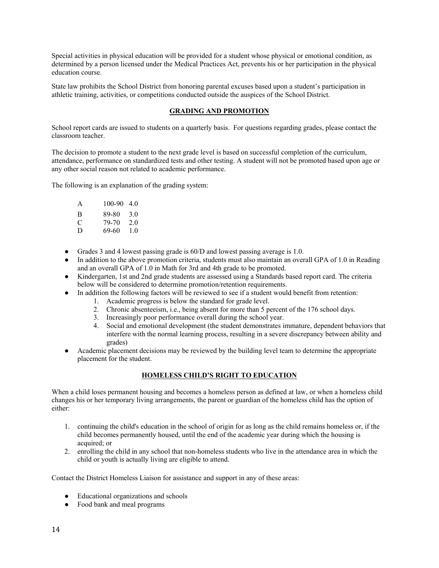Special activities in physical education will be provided for a student whose physical or emotional condition, as determined by a person licensed under the Medical Practices Act, prevents his or her participation in the physical education course.

State law prohibits the School District from honoring parental excuses based upon a student's participation in athletic training, activities, or competitions conducted outside the auspices of the School District.

#### **GRADING AND PROMOTION**

School report cards are issued to students on a quarterly basis. For questions regarding grades, please contact the classroom teacher.

The decision to promote a student to the next grade level is based on successful completion of the curriculum, attendance, performance on standardized tests and other testing. A student will not be promoted based upon age or any other social reason not related to academic performance.

The following is an explanation of the grading system:

| A | $100-90$ 4.0 |     |
|---|--------------|-----|
| R | 89-80        | 3.0 |
| C | 79-70        | 2.0 |
| D | 69-60        | 1.0 |

- Grades 3 and 4 lowest passing grade is 60/D and lowest passing average is 1.0.
- In addition to the above promotion criteria, students must also maintain an overall GPA of 1.0 in Reading and an overall GPA of 1.0 in Math for 3rd and 4th grade to be promoted.
- Kindergarten, 1st and 2nd grade students are assessed using a Standards based report card. The criteria below will be considered to determine promotion/retention requirements.
- In addition the following factors will be reviewed to see if a student would benefit from retention:
	- 1. Academic progress is below the standard for grade level.
		- 2. Chronic absenteeism, i.e., being absent for more than 5 percent of the 176 school days.
		- 3. Increasingly poor performance overall during the school year.
		- 4. Social and emotional development (the student demonstrates immature, dependent behaviors that interfere with the normal learning process, resulting in a severe discrepancy between ability and grades)
- Academic placement decisions may be reviewed by the building level team to determine the appropriate placement for the student.

#### **HOMELESS CHILD'S RIGHT TO EDUCATION**

When a child loses permanent housing and becomes a homeless person as defined at law, or when a homeless child changes his or her temporary living arrangements, the parent or guardian of the homeless child has the option of either:

- 1. continuing the child's education in the school of origin for as long as the child remains homeless or, if the child becomes permanently housed, until the end of the academic year during which the housing is acquired; or
- 2. enrolling the child in any school that non-homeless students who live in the attendance area in which the child or youth is actually living are eligible to attend.

Contact the District Homeless Liaison for assistance and support in any of these areas:

- Educational organizations and schools
- Food bank and meal programs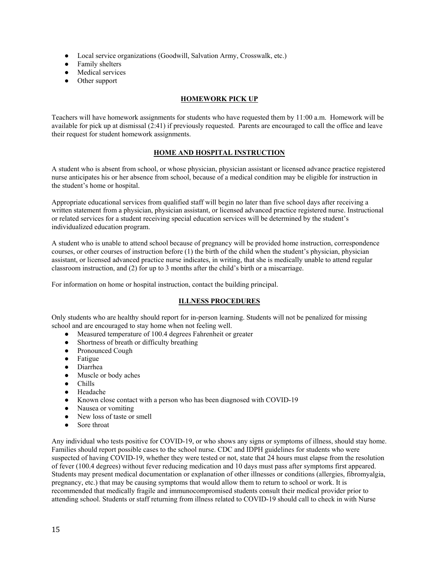- Local service organizations (Goodwill, Salvation Army, Crosswalk, etc.)
- Family shelters
- Medical services
- Other support

#### **HOMEWORK PICK UP**

Teachers will have homework assignments for students who have requested them by 11:00 a.m. Homework will be available for pick up at dismissal (2:41) if previously requested. Parents are encouraged to call the office and leave their request for student homework assignments.

#### **HOME AND HOSPITAL INSTRUCTION**

A student who is absent from school, or whose physician, physician assistant or licensed advance practice registered nurse anticipates his or her absence from school, because of a medical condition may be eligible for instruction in the student's home or hospital.

Appropriate educational services from qualified staff will begin no later than five school days after receiving a written statement from a physician, physician assistant, or licensed advanced practice registered nurse. Instructional or related services for a student receiving special education services will be determined by the student's individualized education program.

A student who is unable to attend school because of pregnancy will be provided home instruction, correspondence courses, or other courses of instruction before (1) the birth of the child when the student's physician, physician assistant, or licensed advanced practice nurse indicates, in writing, that she is medically unable to attend regular classroom instruction, and (2) for up to 3 months after the child's birth or a miscarriage.

For information on home or hospital instruction, contact the building principal.

#### **ILLNESS PROCEDURES**

Only students who are healthy should report for in-person learning. Students will not be penalized for missing school and are encouraged to stay home when not feeling well.

- Measured temperature of 100.4 degrees Fahrenheit or greater
- Shortness of breath or difficulty breathing
- Pronounced Cough
- Fatigue
- Diarrhea
- Muscle or body aches
- Chills
- Headache
- Known close contact with a person who has been diagnosed with COVID-19
- Nausea or vomiting
- New loss of taste or smell
- Sore throat

Any individual who tests positive for COVID-19, or who shows any signs or symptoms of illness, should stay home. Families should report possible cases to the school nurse. CDC and IDPH guidelines for students who were suspected of having COVID-19, whether they were tested or not, state that 24 hours must elapse from the resolution of fever (100.4 degrees) without fever reducing medication and 10 days must pass after symptoms first appeared. Students may present medical documentation or explanation of other illnesses or conditions (allergies, fibromyalgia, pregnancy, etc.) that may be causing symptoms that would allow them to return to school or work. It is recommended that medically fragile and immunocompromised students consult their medical provider prior to attending school. Students or staff returning from illness related to COVID-19 should call to check in with Nurse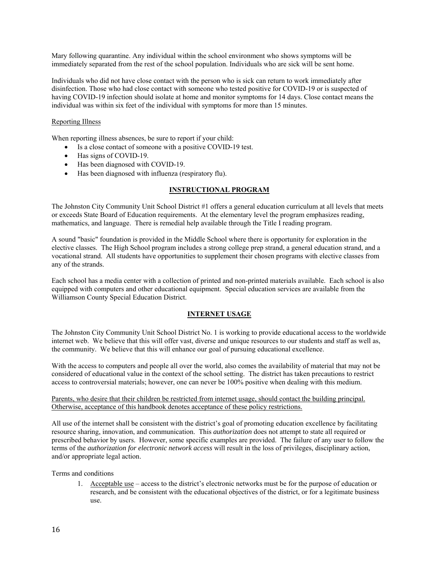Mary following quarantine. Any individual within the school environment who shows symptoms will be immediately separated from the rest of the school population. Individuals who are sick will be sent home.

Individuals who did not have close contact with the person who is sick can return to work immediately after disinfection. Those who had close contact with someone who tested positive for COVID-19 or is suspected of having COVID-19 infection should isolate at home and monitor symptoms for 14 days. Close contact means the individual was within six feet of the individual with symptoms for more than 15 minutes.

#### Reporting Illness

When reporting illness absences, be sure to report if your child:

- Is a close contact of someone with a positive COVID-19 test.
- Has signs of COVID-19.
- Has been diagnosed with COVID-19.
- Has been diagnosed with influenza (respiratory flu).

#### **INSTRUCTIONAL PROGRAM**

The Johnston City Community Unit School District #1 offers a general education curriculum at all levels that meets or exceeds State Board of Education requirements. At the elementary level the program emphasizes reading, mathematics, and language. There is remedial help available through the Title I reading program.

A sound "basic" foundation is provided in the Middle School where there is opportunity for exploration in the elective classes. The High School program includes a strong college prep strand, a general education strand, and a vocational strand. All students have opportunities to supplement their chosen programs with elective classes from any of the strands.

Each school has a media center with a collection of printed and non-printed materials available. Each school is also equipped with computers and other educational equipment. Special education services are available from the Williamson County Special Education District.

#### **INTERNET USAGE**

The Johnston City Community Unit School District No. 1 is working to provide educational access to the worldwide internet web. We believe that this will offer vast, diverse and unique resources to our students and staff as well as, the community. We believe that this will enhance our goal of pursuing educational excellence.

With the access to computers and people all over the world, also comes the availability of material that may not be considered of educational value in the context of the school setting. The district has taken precautions to restrict access to controversial materials; however, one can never be 100% positive when dealing with this medium.

#### Parents, who desire that their children be restricted from internet usage, should contact the building principal. Otherwise, acceptance of this handbook denotes acceptance of these policy restrictions.

All use of the internet shall be consistent with the district's goal of promoting education excellence by facilitating resource sharing, innovation, and communication. This *authorization* does not attempt to state all required or prescribed behavior by users. However, some specific examples are provided. The failure of any user to follow the terms of the *authorization for electronic network access* will result in the loss of privileges, disciplinary action, and/or appropriate legal action.

Terms and conditions

1. Acceptable use – access to the district's electronic networks must be for the purpose of education or research, and be consistent with the educational objectives of the district, or for a legitimate business use.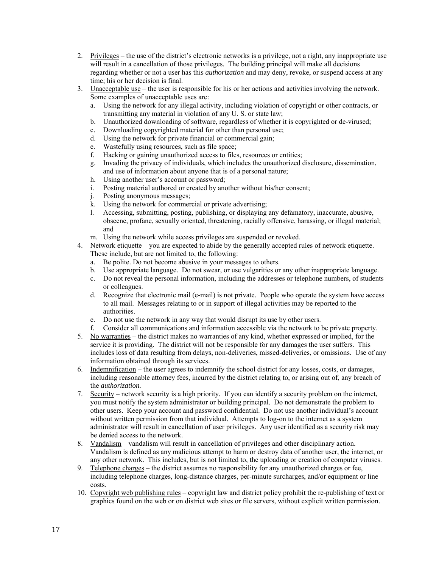- 2. Privileges the use of the district's electronic networks is a privilege, not a right, any inappropriate use will result in a cancellation of those privileges. The building principal will make all decisions regarding whether or not a user has this *authorization* and may deny, revoke, or suspend access at any time; his or her decision is final.
- 3. Unacceptable use the user is responsible for his or her actions and activities involving the network. Some examples of unacceptable uses are:
	- a. Using the network for any illegal activity, including violation of copyright or other contracts, or transmitting any material in violation of any U. S. or state law;
	- b. Unauthorized downloading of software, regardless of whether it is copyrighted or de-virused;
	- c. Downloading copyrighted material for other than personal use;
	- d. Using the network for private financial or commercial gain;
	- e. Wastefully using resources, such as file space;
	- f. Hacking or gaining unauthorized access to files, resources or entities;
	- g. Invading the privacy of individuals, which includes the unauthorized disclosure, dissemination, and use of information about anyone that is of a personal nature;
	- h. Using another user's account or password;
	- i. Posting material authored or created by another without his/her consent;
	- j. Posting anonymous messages;
	- k. Using the network for commercial or private advertising;
	- l. Accessing, submitting, posting, publishing, or displaying any defamatory, inaccurate, abusive, obscene, profane, sexually oriented, threatening, racially offensive, harassing, or illegal material; and
	- m. Using the network while access privileges are suspended or revoked.
- 4. Network etiquette you are expected to abide by the generally accepted rules of network etiquette. These include, but are not limited to, the following:
	- a. Be polite. Do not become abusive in your messages to others.
	- b. Use appropriate language. Do not swear, or use vulgarities or any other inappropriate language.
	- c. Do not reveal the personal information, including the addresses or telephone numbers, of students or colleagues.
	- d. Recognize that electronic mail (e-mail) is not private. People who operate the system have access to all mail. Messages relating to or in support of illegal activities may be reported to the authorities.
	- e. Do not use the network in any way that would disrupt its use by other users.
	- f. Consider all communications and information accessible via the network to be private property.
- 5. No warranties the district makes no warranties of any kind, whether expressed or implied, for the service it is providing. The district will not be responsible for any damages the user suffers. This includes loss of data resulting from delays, non-deliveries, missed-deliveries, or omissions. Use of any information obtained through its services.
- 6. Indemnification the user agrees to indemnify the school district for any losses, costs, or damages, including reasonable attorney fees, incurred by the district relating to, or arising out of, any breach of the *authorization.*
- 7. Security network security is a high priority. If you can identify a security problem on the internet, you must notify the system administrator or building principal. Do not demonstrate the problem to other users. Keep your account and password confidential. Do not use another individual's account without written permission from that individual. Attempts to log-on to the internet as a system administrator will result in cancellation of user privileges. Any user identified as a security risk may be denied access to the network.
- 8. Vandalism vandalism will result in cancellation of privileges and other disciplinary action. Vandalism is defined as any malicious attempt to harm or destroy data of another user, the internet, or any other network. This includes, but is not limited to, the uploading or creation of computer viruses.
- 9. Telephone charges the district assumes no responsibility for any unauthorized charges or fee, including telephone charges, long-distance charges, per-minute surcharges, and/or equipment or line costs.
- 10. Copyright web publishing rules copyright law and district policy prohibit the re-publishing of text or graphics found on the web or on district web sites or file servers, without explicit written permission.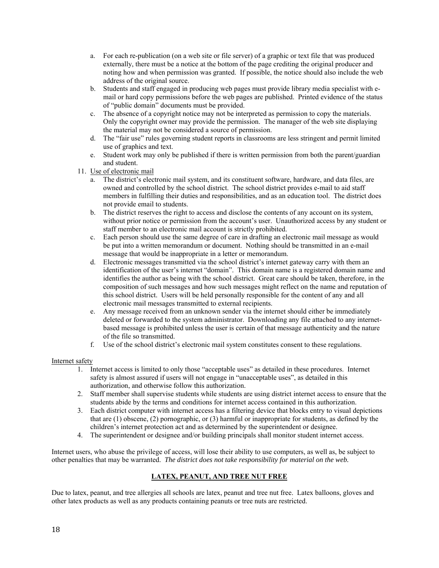- a. For each re-publication (on a web site or file server) of a graphic or text file that was produced externally, there must be a notice at the bottom of the page crediting the original producer and noting how and when permission was granted. If possible, the notice should also include the web address of the original source.
- b. Students and staff engaged in producing web pages must provide library media specialist with email or hard copy permissions before the web pages are published. Printed evidence of the status of "public domain" documents must be provided.
- c. The absence of a copyright notice may not be interpreted as permission to copy the materials. Only the copyright owner may provide the permission. The manager of the web site displaying the material may not be considered a source of permission.
- d. The "fair use" rules governing student reports in classrooms are less stringent and permit limited use of graphics and text.
- e. Student work may only be published if there is written permission from both the parent/guardian and student.
- 11. Use of electronic mail
	- a. The district's electronic mail system, and its constituent software, hardware, and data files, are owned and controlled by the school district. The school district provides e-mail to aid staff members in fulfilling their duties and responsibilities, and as an education tool. The district does not provide email to students.
	- b. The district reserves the right to access and disclose the contents of any account on its system, without prior notice or permission from the account's user. Unauthorized access by any student or staff member to an electronic mail account is strictly prohibited.
	- c. Each person should use the same degree of care in drafting an electronic mail message as would be put into a written memorandum or document. Nothing should be transmitted in an e-mail message that would be inappropriate in a letter or memorandum.
	- d. Electronic messages transmitted via the school district's internet gateway carry with them an identification of the user's internet "domain". This domain name is a registered domain name and identifies the author as being with the school district. Great care should be taken, therefore, in the composition of such messages and how such messages might reflect on the name and reputation of this school district. Users will be held personally responsible for the content of any and all electronic mail messages transmitted to external recipients.
	- e. Any message received from an unknown sender via the internet should either be immediately deleted or forwarded to the system administrator. Downloading any file attached to any internetbased message is prohibited unless the user is certain of that message authenticity and the nature of the file so transmitted.
	- f. Use of the school district's electronic mail system constitutes consent to these regulations.

#### Internet safety

- 1. Internet access is limited to only those "acceptable uses" as detailed in these procedures. Internet safety is almost assured if users will not engage in "unacceptable uses", as detailed in this authorization, and otherwise follow this authorization.
- 2. Staff member shall supervise students while students are using district internet access to ensure that the students abide by the terms and conditions for internet access contained in this authorization.
- 3. Each district computer with internet access has a filtering device that blocks entry to visual depictions that are (1) obscene, (2) pornographic, or (3) harmful or inappropriate for students, as defined by the children's internet protection act and as determined by the superintendent or designee.
- 4. The superintendent or designee and/or building principals shall monitor student internet access.

Internet users, who abuse the privilege of access, will lose their ability to use computers, as well as, be subject to other penalties that may be warranted. *The district does not take responsibility for material on the web.*

#### **LATEX, PEANUT, AND TREE NUT FREE**

Due to latex, peanut, and tree allergies all schools are latex, peanut and tree nut free. Latex balloons, gloves and other latex products as well as any products containing peanuts or tree nuts are restricted.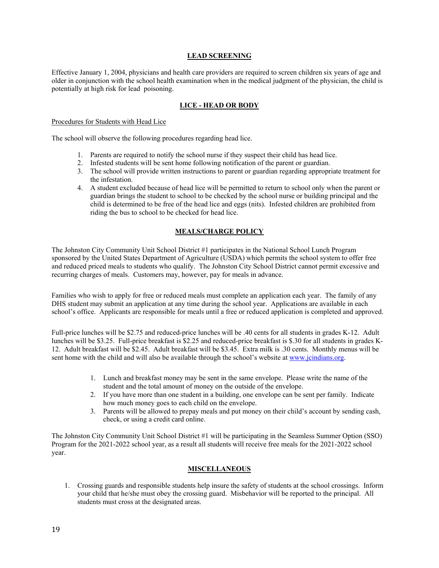#### **LEAD SCREENING**

Effective January 1, 2004, physicians and health care providers are required to screen children six years of age and older in conjunction with the school health examination when in the medical judgment of the physician, the child is potentially at high risk for lead poisoning.

#### **LICE - HEAD OR BODY**

Procedures for Students with Head Lice

The school will observe the following procedures regarding head lice.

- 1. Parents are required to notify the school nurse if they suspect their child has head lice.
- 2. Infested students will be sent home following notification of the parent or guardian.
- 3. The school will provide written instructions to parent or guardian regarding appropriate treatment for the infestation.
- 4. A student excluded because of head lice will be permitted to return to school only when the parent or guardian brings the student to school to be checked by the school nurse or building principal and the child is determined to be free of the head lice and eggs (nits). Infested children are prohibited from riding the bus to school to be checked for head lice.

#### **MEALS/CHARGE POLICY**

The Johnston City Community Unit School District #1 participates in the National School Lunch Program sponsored by the United States Department of Agriculture (USDA) which permits the school system to offer free and reduced priced meals to students who qualify. The Johnston City School District cannot permit excessive and recurring charges of meals. Customers may, however, pay for meals in advance.

Families who wish to apply for free or reduced meals must complete an application each year. The family of any DHS student may submit an application at any time during the school year. Applications are available in each school's office. Applicants are responsible for meals until a free or reduced application is completed and approved.

Full-price lunches will be \$2.75 and reduced-price lunches will be .40 cents for all students in grades K-12. Adult lunches will be \$3.25. Full-price breakfast is \$2.25 and reduced-price breakfast is \$.30 for all students in grades K-12. Adult breakfast will be \$2.45. Adult breakfast will be \$3.45. Extra milk is .30 cents. Monthly menus will be sent home with the child and will also be available through the school's website at www.jcindians.org.

- 1. Lunch and breakfast money may be sent in the same envelope. Please write the name of the student and the total amount of money on the outside of the envelope.
- 2. If you have more than one student in a building, one envelope can be sent per family. Indicate how much money goes to each child on the envelope.
- 3. Parents will be allowed to prepay meals and put money on their child's account by sending cash, check, or using a credit card online.

The Johnston City Community Unit School District #1 will be participating in the Seamless Summer Option (SSO) Program for the 2021-2022 school year, as a result all students will receive free meals for the 2021-2022 school year.

#### **MISCELLANEOUS**

1. Crossing guards and responsible students help insure the safety of students at the school crossings. Inform your child that he/she must obey the crossing guard. Misbehavior will be reported to the principal. All students must cross at the designated areas.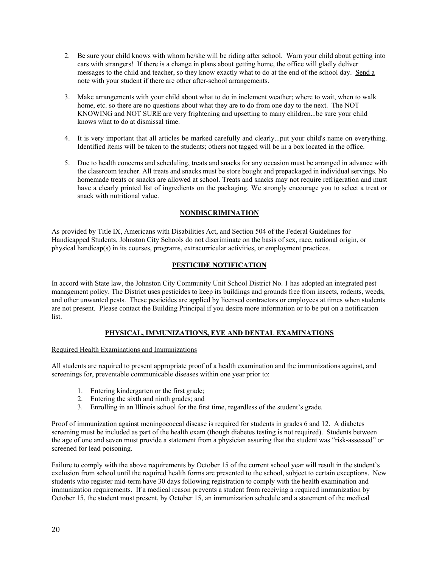- 2. Be sure your child knows with whom he/she will be riding after school. Warn your child about getting into cars with strangers! If there is a change in plans about getting home, the office will gladly deliver messages to the child and teacher, so they know exactly what to do at the end of the school day. Send a note with your student if there are other after-school arrangements.
- 3. Make arrangements with your child about what to do in inclement weather; where to wait, when to walk home, etc. so there are no questions about what they are to do from one day to the next. The NOT KNOWING and NOT SURE are very frightening and upsetting to many children...be sure your child knows what to do at dismissal time.
- 4. It is very important that all articles be marked carefully and clearly...put your child's name on everything. Identified items will be taken to the students; others not tagged will be in a box located in the office.
- 5. Due to health concerns and scheduling, treats and snacks for any occasion must be arranged in advance with the classroom teacher. All treats and snacks must be store bought and prepackaged in individual servings. No homemade treats or snacks are allowed at school. Treats and snacks may not require refrigeration and must have a clearly printed list of ingredients on the packaging. We strongly encourage you to select a treat or snack with nutritional value.

#### **NONDISCRIMINATION**

As provided by Title IX, Americans with Disabilities Act, and Section 504 of the Federal Guidelines for Handicapped Students, Johnston City Schools do not discriminate on the basis of sex, race, national origin, or physical handicap(s) in its courses, programs, extracurricular activities, or employment practices.

#### **PESTICIDE NOTIFICATION**

In accord with State law, the Johnston City Community Unit School District No. 1 has adopted an integrated pest management policy. The District uses pesticides to keep its buildings and grounds free from insects, rodents, weeds, and other unwanted pests. These pesticides are applied by licensed contractors or employees at times when students are not present. Please contact the Building Principal if you desire more information or to be put on a notification list.

#### **PHYSICAL, IMMUNIZATIONS, EYE AND DENTAL EXAMINATIONS**

#### Required Health Examinations and Immunizations

All students are required to present appropriate proof of a health examination and the immunizations against, and screenings for, preventable communicable diseases within one year prior to:

- 1. Entering kindergarten or the first grade;
- 2. Entering the sixth and ninth grades; and
- 3. Enrolling in an Illinois school for the first time, regardless of the student's grade.

Proof of immunization against meningococcal disease is required for students in grades 6 and 12. A diabetes screening must be included as part of the health exam (though diabetes testing is not required). Students between the age of one and seven must provide a statement from a physician assuring that the student was "risk-assessed" or screened for lead poisoning.

Failure to comply with the above requirements by October 15 of the current school year will result in the student's exclusion from school until the required health forms are presented to the school, subject to certain exceptions. New students who register mid-term have 30 days following registration to comply with the health examination and immunization requirements. If a medical reason prevents a student from receiving a required immunization by October 15, the student must present, by October 15, an immunization schedule and a statement of the medical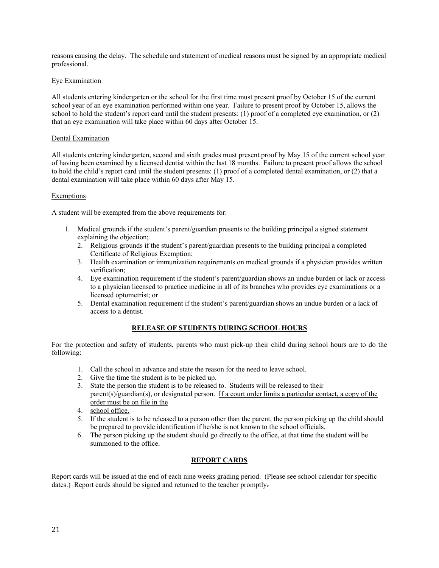reasons causing the delay. The schedule and statement of medical reasons must be signed by an appropriate medical professional.

#### Eye Examination

All students entering kindergarten or the school for the first time must present proof by October 15 of the current school year of an eye examination performed within one year. Failure to present proof by October 15, allows the school to hold the student's report card until the student presents: (1) proof of a completed eye examination, or (2) that an eye examination will take place within 60 days after October 15.

#### Dental Examination

All students entering kindergarten, second and sixth grades must present proof by May 15 of the current school year of having been examined by a licensed dentist within the last 18 months. Failure to present proof allows the school to hold the child's report card until the student presents: (1) proof of a completed dental examination, or (2) that a dental examination will take place within 60 days after May 15.

#### Exemptions

A student will be exempted from the above requirements for:

- 1. Medical grounds if the student's parent/guardian presents to the building principal a signed statement explaining the objection;
	- 2. Religious grounds if the student's parent/guardian presents to the building principal a completed Certificate of Religious Exemption;
	- 3. Health examination or immunization requirements on medical grounds if a physician provides written verification;
	- 4. Eye examination requirement if the student's parent/guardian shows an undue burden or lack or access to a physician licensed to practice medicine in all of its branches who provides eye examinations or a licensed optometrist; or
	- 5. Dental examination requirement if the student's parent/guardian shows an undue burden or a lack of access to a dentist.

#### **RELEASE OF STUDENTS DURING SCHOOL HOURS**

For the protection and safety of students, parents who must pick-up their child during school hours are to do the following:

- 1. Call the school in advance and state the reason for the need to leave school.
- 2. Give the time the student is to be picked up.
- 3. State the person the student is to be released to. Students will be released to their parent(s)/guardian(s), or designated person. If a court order limits a particular contact, a copy of the order must be on file in the
- 4. school office.
- 5. If the student is to be released to a person other than the parent, the person picking up the child should be prepared to provide identification if he/she is not known to the school officials.
- 6. The person picking up the student should go directly to the office, at that time the student will be summoned to the office.

#### **REPORT CARDS**

Report cards will be issued at the end of each nine weeks grading period. (Please see school calendar for specific dates.) Report cards should be signed and returned to the teacher promptly.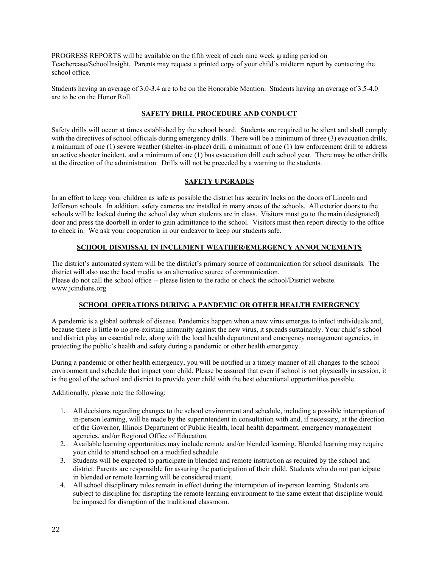PROGRESS REPORTS will be available on the fifth week of each nine week grading period on Teacherease/SchoolInsight. Parents may request a printed copy of your child's midterm report by contacting the school office.

Students having an average of 3.0-3.4 are to be on the Honorable Mention. Students having an average of 3.5-4.0 are to be on the Honor Roll.

#### **SAFETY DRILL PROCEDURE AND CONDUCT**

Safety drills will occur at times established by the school board. Students are required to be silent and shall comply with the directives of school officials during emergency drills. There will be a minimum of three (3) evacuation drills, a minimum of one (1) severe weather (shelter-in-place) drill, a minimum of one (1) law enforcement drill to address an active shooter incident, and a minimum of one (1) bus evacuation drill each school year. There may be other drills at the direction of the administration. Drills will not be preceded by a warning to the students.

#### **SAFETY UPGRADES**

In an effort to keep your children as safe as possible the district has security locks on the doors of Lincoln and Jefferson schools. In addition, safety cameras are installed in many areas of the schools. All exterior doors to the schools will be locked during the school day when students are in class. Visitors must go to the main (designated) door and press the doorbell in order to gain admittance to the school. Visitors must then report directly to the office to check in. We ask your cooperation in our endeavor to keep our students safe.

#### **SCHOOL DISMISSAL IN INCLEMENT WEATHER/EMERGENCY ANNOUNCEMENTS**

The district's automated system will be the district's primary source of communication for school dismissals. The district will also use the local media as an alternative source of communication. Please do not call the school office -- please listen to the radio or check the school/District website. www.jcindians.org

#### **SCHOOL OPERATIONS DURING A PANDEMIC OR OTHER HEALTH EMERGENCY**

A pandemic is a global outbreak of disease. Pandemics happen when a new virus emerges to infect individuals and, because there is little to no pre-existing immunity against the new virus, it spreads sustainably. Your child's school and district play an essential role, along with the local health department and emergency management agencies, in protecting the public's health and safety during a pandemic or other health emergency.

During a pandemic or other health emergency, you will be notified in a timely manner of all changes to the school environment and schedule that impact your child. Please be assured that even if school is not physically in session, it is the goal of the school and district to provide your child with the best educational opportunities possible.

Additionally, please note the following:

- 1. All decisions regarding changes to the school environment and schedule, including a possible interruption of in-person learning, will be made by the superintendent in consultation with and, if necessary, at the direction of the Governor, Illinois Department of Public Health, local health department, emergency management agencies, and/or Regional Office of Education.
- 2. Available learning opportunities may include remote and/or blended learning. Blended learning may require your child to attend school on a modified schedule.
- 3. Students will be expected to participate in blended and remote instruction as required by the school and district. Parents are responsible for assuring the participation of their child. Students who do not participate in blended or remote learning will be considered truant.
- 4. All school disciplinary rules remain in effect during the interruption of in-person learning. Students are subject to discipline for disrupting the remote learning environment to the same extent that discipline would be imposed for disruption of the traditional classroom.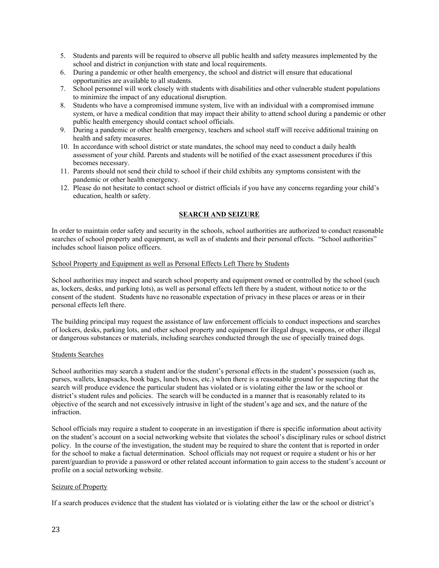- 5. Students and parents will be required to observe all public health and safety measures implemented by the school and district in conjunction with state and local requirements.
- 6. During a pandemic or other health emergency, the school and district will ensure that educational opportunities are available to all students.
- 7. School personnel will work closely with students with disabilities and other vulnerable student populations to minimize the impact of any educational disruption.
- 8. Students who have a compromised immune system, live with an individual with a compromised immune system, or have a medical condition that may impact their ability to attend school during a pandemic or other public health emergency should contact school officials.
- 9. During a pandemic or other health emergency, teachers and school staff will receive additional training on health and safety measures.
- 10. In accordance with school district or state mandates, the school may need to conduct a daily health assessment of your child. Parents and students will be notified of the exact assessment procedures if this becomes necessary.
- 11. Parents should not send their child to school if their child exhibits any symptoms consistent with the pandemic or other health emergency.
- 12. Please do not hesitate to contact school or district officials if you have any concerns regarding your child's education, health or safety.

#### **SEARCH AND SEIZURE**

In order to maintain order safety and security in the schools, school authorities are authorized to conduct reasonable searches of school property and equipment, as well as of students and their personal effects. "School authorities" includes school liaison police officers.

#### School Property and Equipment as well as Personal Effects Left There by Students

School authorities may inspect and search school property and equipment owned or controlled by the school (such as, lockers, desks, and parking lots), as well as personal effects left there by a student, without notice to or the consent of the student. Students have no reasonable expectation of privacy in these places or areas or in their personal effects left there.

The building principal may request the assistance of law enforcement officials to conduct inspections and searches of lockers, desks, parking lots, and other school property and equipment for illegal drugs, weapons, or other illegal or dangerous substances or materials, including searches conducted through the use of specially trained dogs.

#### Students Searches

School authorities may search a student and/or the student's personal effects in the student's possession (such as, purses, wallets, knapsacks, book bags, lunch boxes, etc.) when there is a reasonable ground for suspecting that the search will produce evidence the particular student has violated or is violating either the law or the school or district's student rules and policies. The search will be conducted in a manner that is reasonably related to its objective of the search and not excessively intrusive in light of the student's age and sex, and the nature of the infraction.

School officials may require a student to cooperate in an investigation if there is specific information about activity on the student's account on a social networking website that violates the school's disciplinary rules or school district policy. In the course of the investigation, the student may be required to share the content that is reported in order for the school to make a factual determination. School officials may not request or require a student or his or her parent/guardian to provide a password or other related account information to gain access to the student's account or profile on a social networking website.

#### Seizure of Property

If a search produces evidence that the student has violated or is violating either the law or the school or district's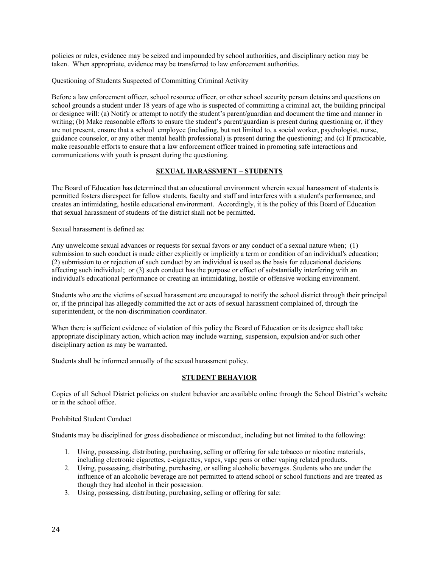policies or rules, evidence may be seized and impounded by school authorities, and disciplinary action may be taken. When appropriate, evidence may be transferred to law enforcement authorities.

#### Questioning of Students Suspected of Committing Criminal Activity

Before a law enforcement officer, school resource officer, or other school security person detains and questions on school grounds a student under 18 years of age who is suspected of committing a criminal act, the building principal or designee will: (a) Notify or attempt to notify the student's parent/guardian and document the time and manner in writing; (b) Make reasonable efforts to ensure the student's parent/guardian is present during questioning or, if they are not present, ensure that a school employee (including, but not limited to, a social worker, psychologist, nurse, guidance counselor, or any other mental health professional) is present during the questioning; and (c) If practicable, make reasonable efforts to ensure that a law enforcement officer trained in promoting safe interactions and communications with youth is present during the questioning.

#### **SEXUAL HARASSMENT – STUDENTS**

The Board of Education has determined that an educational environment wherein sexual harassment of students is permitted fosters disrespect for fellow students, faculty and staff and interferes with a student's performance, and creates an intimidating, hostile educational environment. Accordingly, it is the policy of this Board of Education that sexual harassment of students of the district shall not be permitted.

Sexual harassment is defined as:

Any unwelcome sexual advances or requests for sexual favors or any conduct of a sexual nature when; (1) submission to such conduct is made either explicitly or implicitly a term or condition of an individual's education; (2) submission to or rejection of such conduct by an individual is used as the basis for educational decisions affecting such individual; or (3) such conduct has the purpose or effect of substantially interfering with an individual's educational performance or creating an intimidating, hostile or offensive working environment.

Students who are the victims of sexual harassment are encouraged to notify the school district through their principal or, if the principal has allegedly committed the act or acts of sexual harassment complained of, through the superintendent, or the non-discrimination coordinator.

When there is sufficient evidence of violation of this policy the Board of Education or its designee shall take appropriate disciplinary action, which action may include warning, suspension, expulsion and/or such other disciplinary action as may be warranted.

Students shall be informed annually of the sexual harassment policy.

#### **STUDENT BEHAVIOR**

Copies of all School District policies on student behavior are available online through the School District's website or in the school office.

#### Prohibited Student Conduct

Students may be disciplined for gross disobedience or misconduct, including but not limited to the following:

- 1. Using, possessing, distributing, purchasing, selling or offering for sale tobacco or nicotine materials, including electronic cigarettes, e-cigarettes, vapes, vape pens or other vaping related products.
- 2. Using, possessing, distributing, purchasing, or selling alcoholic beverages. Students who are under the influence of an alcoholic beverage are not permitted to attend school or school functions and are treated as though they had alcohol in their possession.
- 3. Using, possessing, distributing, purchasing, selling or offering for sale: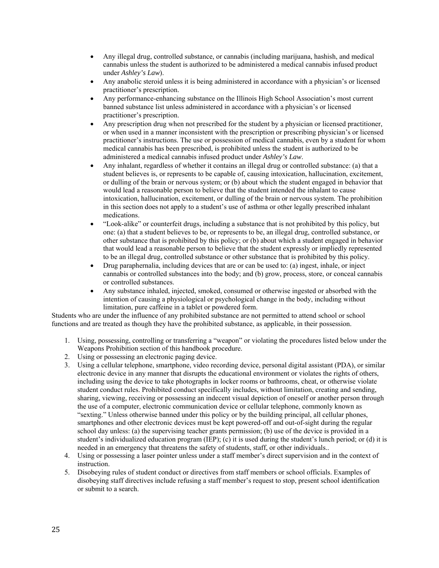- Any illegal drug, controlled substance, or cannabis (including marijuana, hashish, and medical cannabis unless the student is authorized to be administered a medical cannabis infused product under *Ashley's Law*).
- Any anabolic steroid unless it is being administered in accordance with a physician's or licensed practitioner's prescription.
- Any performance-enhancing substance on the Illinois High School Association's most current banned substance list unless administered in accordance with a physician's or licensed practitioner's prescription.
- Any prescription drug when not prescribed for the student by a physician or licensed practitioner, or when used in a manner inconsistent with the prescription or prescribing physician's or licensed practitioner's instructions. The use or possession of medical cannabis, even by a student for whom medical cannabis has been prescribed, is prohibited unless the student is authorized to be administered a medical cannabis infused product under *Ashley's Law*.
- Any inhalant, regardless of whether it contains an illegal drug or controlled substance: (a) that a student believes is, or represents to be capable of, causing intoxication, hallucination, excitement, or dulling of the brain or nervous system; or (b) about which the student engaged in behavior that would lead a reasonable person to believe that the student intended the inhalant to cause intoxication, hallucination, excitement, or dulling of the brain or nervous system. The prohibition in this section does not apply to a student's use of asthma or other legally prescribed inhalant medications.
- "Look-alike" or counterfeit drugs, including a substance that is not prohibited by this policy, but one: (a) that a student believes to be, or represents to be, an illegal drug, controlled substance, or other substance that is prohibited by this policy; or (b) about which a student engaged in behavior that would lead a reasonable person to believe that the student expressly or impliedly represented to be an illegal drug, controlled substance or other substance that is prohibited by this policy.
- Drug paraphernalia, including devices that are or can be used to: (a) ingest, inhale, or inject cannabis or controlled substances into the body; and (b) grow, process, store, or conceal cannabis or controlled substances.
- Any substance inhaled, injected, smoked, consumed or otherwise ingested or absorbed with the intention of causing a physiological or psychological change in the body, including without limitation, pure caffeine in a tablet or powdered form.

Students who are under the influence of any prohibited substance are not permitted to attend school or school functions and are treated as though they have the prohibited substance, as applicable, in their possession.

- 1. Using, possessing, controlling or transferring a "weapon" or violating the procedures listed below under the Weapons Prohibition section of this handbook procedure.
- 2. Using or possessing an electronic paging device.
- 3. Using a cellular telephone, smartphone, video recording device, personal digital assistant (PDA), or similar electronic device in any manner that disrupts the educational environment or violates the rights of others, including using the device to take photographs in locker rooms or bathrooms, cheat, or otherwise violate student conduct rules. Prohibited conduct specifically includes, without limitation, creating and sending, sharing, viewing, receiving or possessing an indecent visual depiction of oneself or another person through the use of a computer, electronic communication device or cellular telephone, commonly known as "sexting." Unless otherwise banned under this policy or by the building principal, all cellular phones, smartphones and other electronic devices must be kept powered-off and out-of-sight during the regular school day unless: (a) the supervising teacher grants permission; (b) use of the device is provided in a student's individualized education program (IEP); (c) it is used during the student's lunch period; or (d) it is needed in an emergency that threatens the safety of students, staff, or other individuals..
- 4. Using or possessing a laser pointer unless under a staff member's direct supervision and in the context of instruction.
- 5. Disobeying rules of student conduct or directives from staff members or school officials. Examples of disobeying staff directives include refusing a staff member's request to stop, present school identification or submit to a search.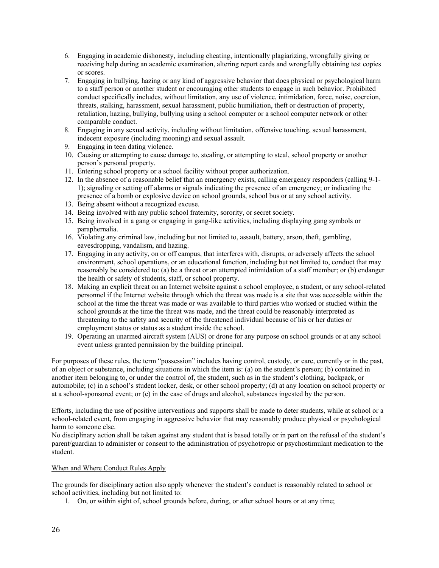- 6. Engaging in academic dishonesty, including cheating, intentionally plagiarizing, wrongfully giving or receiving help during an academic examination, altering report cards and wrongfully obtaining test copies or scores.
- 7. Engaging in bullying, hazing or any kind of aggressive behavior that does physical or psychological harm to a staff person or another student or encouraging other students to engage in such behavior. Prohibited conduct specifically includes, without limitation, any use of violence, intimidation, force, noise, coercion, threats, stalking, harassment, sexual harassment, public humiliation, theft or destruction of property, retaliation, hazing, bullying, bullying using a school computer or a school computer network or other comparable conduct.
- 8. Engaging in any sexual activity, including without limitation, offensive touching, sexual harassment, indecent exposure (including mooning) and sexual assault.
- 9. Engaging in teen dating violence.
- 10. Causing or attempting to cause damage to, stealing, or attempting to steal, school property or another person's personal property.
- 11. Entering school property or a school facility without proper authorization.
- 12. In the absence of a reasonable belief that an emergency exists, calling emergency responders (calling 9-1- 1); signaling or setting off alarms or signals indicating the presence of an emergency; or indicating the presence of a bomb or explosive device on school grounds, school bus or at any school activity.
- 13. Being absent without a recognized excuse.
- 14. Being involved with any public school fraternity, sorority, or secret society.
- 15. Being involved in a gang or engaging in gang-like activities, including displaying gang symbols or paraphernalia.
- 16. Violating any criminal law, including but not limited to, assault, battery, arson, theft, gambling, eavesdropping, vandalism, and hazing.
- 17. Engaging in any activity, on or off campus, that interferes with, disrupts, or adversely affects the school environment, school operations, or an educational function, including but not limited to, conduct that may reasonably be considered to: (a) be a threat or an attempted intimidation of a staff member; or (b) endanger the health or safety of students, staff, or school property.
- 18. Making an explicit threat on an Internet website against a school employee, a student, or any school-related personnel if the Internet website through which the threat was made is a site that was accessible within the school at the time the threat was made or was available to third parties who worked or studied within the school grounds at the time the threat was made, and the threat could be reasonably interpreted as threatening to the safety and security of the threatened individual because of his or her duties or employment status or status as a student inside the school.
- 19. Operating an unarmed aircraft system (AUS) or drone for any purpose on school grounds or at any school event unless granted permission by the building principal.

For purposes of these rules, the term "possession" includes having control, custody, or care, currently or in the past, of an object or substance, including situations in which the item is: (a) on the student's person; (b) contained in another item belonging to, or under the control of, the student, such as in the student's clothing, backpack, or automobile; (c) in a school's student locker, desk, or other school property; (d) at any location on school property or at a school-sponsored event; or (e) in the case of drugs and alcohol, substances ingested by the person.

Efforts, including the use of positive interventions and supports shall be made to deter students, while at school or a school-related event, from engaging in aggressive behavior that may reasonably produce physical or psychological harm to someone else.

No disciplinary action shall be taken against any student that is based totally or in part on the refusal of the student's parent/guardian to administer or consent to the administration of psychotropic or psychostimulant medication to the student.

#### When and Where Conduct Rules Apply

The grounds for disciplinary action also apply whenever the student's conduct is reasonably related to school or school activities, including but not limited to:

1. On, or within sight of, school grounds before, during, or after school hours or at any time;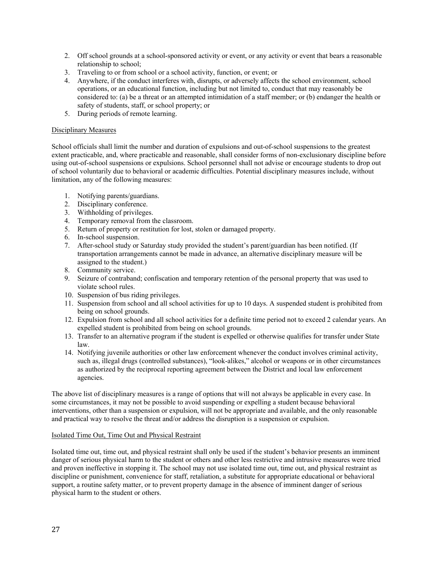- 2. Off school grounds at a school-sponsored activity or event, or any activity or event that bears a reasonable relationship to school;
- 3. Traveling to or from school or a school activity, function, or event; or
- 4. Anywhere, if the conduct interferes with, disrupts, or adversely affects the school environment, school operations, or an educational function, including but not limited to, conduct that may reasonably be considered to: (a) be a threat or an attempted intimidation of a staff member; or (b) endanger the health or safety of students, staff, or school property; or
- 5. During periods of remote learning.

#### Disciplinary Measures

School officials shall limit the number and duration of expulsions and out-of-school suspensions to the greatest extent practicable, and, where practicable and reasonable, shall consider forms of non-exclusionary discipline before using out-of-school suspensions or expulsions. School personnel shall not advise or encourage students to drop out of school voluntarily due to behavioral or academic difficulties. Potential disciplinary measures include, without limitation, any of the following measures:

- 1. Notifying parents/guardians.
- 2. Disciplinary conference.
- 3. Withholding of privileges.
- 4. Temporary removal from the classroom.
- 5. Return of property or restitution for lost, stolen or damaged property.
- 6. In-school suspension.
- 7. After-school study or Saturday study provided the student's parent/guardian has been notified. (If transportation arrangements cannot be made in advance, an alternative disciplinary measure will be assigned to the student.)
- 8. Community service.
- 9. Seizure of contraband; confiscation and temporary retention of the personal property that was used to violate school rules.
- 10. Suspension of bus riding privileges.
- 11. Suspension from school and all school activities for up to 10 days. A suspended student is prohibited from being on school grounds.
- 12. Expulsion from school and all school activities for a definite time period not to exceed 2 calendar years. An expelled student is prohibited from being on school grounds.
- 13. Transfer to an alternative program if the student is expelled or otherwise qualifies for transfer under State law.
- 14. Notifying juvenile authorities or other law enforcement whenever the conduct involves criminal activity, such as, illegal drugs (controlled substances), "look-alikes," alcohol or weapons or in other circumstances as authorized by the reciprocal reporting agreement between the District and local law enforcement agencies.

The above list of disciplinary measures is a range of options that will not always be applicable in every case. In some circumstances, it may not be possible to avoid suspending or expelling a student because behavioral interventions, other than a suspension or expulsion, will not be appropriate and available, and the only reasonable and practical way to resolve the threat and/or address the disruption is a suspension or expulsion.

#### Isolated Time Out, Time Out and Physical Restraint

Isolated time out, time out, and physical restraint shall only be used if the student's behavior presents an imminent danger of serious physical harm to the student or others and other less restrictive and intrusive measures were tried and proven ineffective in stopping it. The school may not use isolated time out, time out, and physical restraint as discipline or punishment, convenience for staff, retaliation, a substitute for appropriate educational or behavioral support, a routine safety matter, or to prevent property damage in the absence of imminent danger of serious physical harm to the student or others.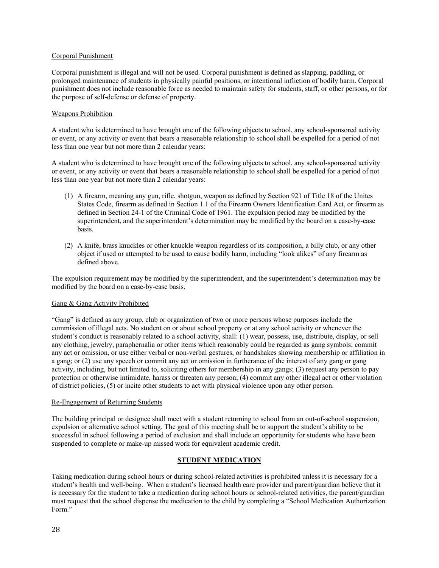#### Corporal Punishment

Corporal punishment is illegal and will not be used. Corporal punishment is defined as slapping, paddling, or prolonged maintenance of students in physically painful positions, or intentional infliction of bodily harm. Corporal punishment does not include reasonable force as needed to maintain safety for students, staff, or other persons, or for the purpose of self-defense or defense of property.

#### Weapons Prohibition

A student who is determined to have brought one of the following objects to school, any school-sponsored activity or event, or any activity or event that bears a reasonable relationship to school shall be expelled for a period of not less than one year but not more than 2 calendar years:

A student who is determined to have brought one of the following objects to school, any school-sponsored activity or event, or any activity or event that bears a reasonable relationship to school shall be expelled for a period of not less than one year but not more than 2 calendar years:

- (1) A firearm, meaning any gun, rifle, shotgun, weapon as defined by Section 921 of Title 18 of the Unites States Code, firearm as defined in Section 1.1 of the Firearm Owners Identification Card Act, or firearm as defined in Section 24-1 of the Criminal Code of 1961. The expulsion period may be modified by the superintendent, and the superintendent's determination may be modified by the board on a case-by-case basis.
- (2) A knife, brass knuckles or other knuckle weapon regardless of its composition, a billy club, or any other object if used or attempted to be used to cause bodily harm, including "look alikes" of any firearm as defined above.

The expulsion requirement may be modified by the superintendent, and the superintendent's determination may be modified by the board on a case-by-case basis.

#### Gang & Gang Activity Prohibited

"Gang" is defined as any group, club or organization of two or more persons whose purposes include the commission of illegal acts. No student on or about school property or at any school activity or whenever the student's conduct is reasonably related to a school activity, shall: (1) wear, possess, use, distribute, display, or sell any clothing, jewelry, paraphernalia or other items which reasonably could be regarded as gang symbols; commit any act or omission, or use either verbal or non‐verbal gestures, or handshakes showing membership or affiliation in a gang; or (2) use any speech or commit any act or omission in furtherance of the interest of any gang or gang activity, including, but not limited to, soliciting others for membership in any gangs; (3) request any person to pay protection or otherwise intimidate, harass or threaten any person; (4) commit any other illegal act or other violation of district policies, (5) or incite other students to act with physical violence upon any other person.

#### Re-Engagement of Returning Students

The building principal or designee shall meet with a student returning to school from an out-of-school suspension, expulsion or alternative school setting. The goal of this meeting shall be to support the student's ability to be successful in school following a period of exclusion and shall include an opportunity for students who have been suspended to complete or make-up missed work for equivalent academic credit.

#### **STUDENT MEDICATION**

Taking medication during school hours or during school-related activities is prohibited unless it is necessary for a student's health and well-being. When a student's licensed health care provider and parent/guardian believe that it is necessary for the student to take a medication during school hours or school-related activities, the parent/guardian must request that the school dispense the medication to the child by completing a "School Medication Authorization Form."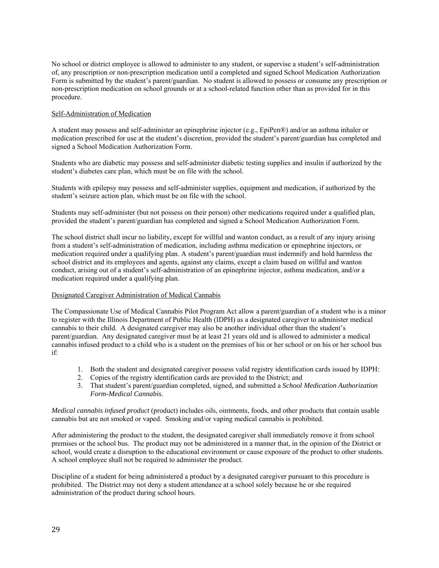No school or district employee is allowed to administer to any student, or supervise a student's self-administration of, any prescription or non-prescription medication until a completed and signed School Medication Authorization Form is submitted by the student's parent/guardian. No student is allowed to possess or consume any prescription or non-prescription medication on school grounds or at a school-related function other than as provided for in this procedure.

#### Self-Administration of Medication

A student may possess and self-administer an epinephrine injector (e.g., EpiPen®) and/or an asthma inhaler or medication prescribed for use at the student's discretion, provided the student's parent/guardian has completed and signed a School Medication Authorization Form.

Students who are diabetic may possess and self-administer diabetic testing supplies and insulin if authorized by the student's diabetes care plan, which must be on file with the school.

Students with epilepsy may possess and self-administer supplies, equipment and medication, if authorized by the student's seizure action plan, which must be on file with the school.

Students may self-administer (but not possess on their person) other medications required under a qualified plan, provided the student's parent/guardian has completed and signed a School Medication Authorization Form.

The school district shall incur no liability, except for willful and wanton conduct, as a result of any injury arising from a student's self-administration of medication, including asthma medication or epinephrine injectors, or medication required under a qualifying plan. A student's parent/guardian must indemnify and hold harmless the school district and its employees and agents, against any claims, except a claim based on willful and wanton conduct, arising out of a student's self-administration of an epinephrine injector, asthma medication, and/or a medication required under a qualifying plan.

#### Designated Caregiver Administration of Medical Cannabis

The Compassionate Use of Medical Cannabis Pilot Program Act allow a parent/guardian of a student who is a minor to register with the Illinois Department of Public Health (IDPH) as a designated caregiver to administer medical cannabis to their child. A designated caregiver may also be another individual other than the student's parent/guardian. Any designated caregiver must be at least 21 years old and is allowed to administer a medical cannabis infused product to a child who is a student on the premises of his or her school or on his or her school bus if:

- 1. Both the student and designated caregiver possess valid registry identification cards issued by IDPH:
- 2. Copies of the registry identification cards are provided to the District; and
- 3. That student's parent/guardian completed, signed, and submitted a *School Medication Authorization Form-Medical Cannabis.*

*Medical cannabis infused product* (product) includes oils, ointments, foods, and other products that contain usable cannabis but are not smoked or vaped. Smoking and/or vaping medical cannabis is prohibited.

After administering the product to the student, the designated caregiver shall immediately remove it from school premises or the school bus. The product may not be administered in a manner that, in the opinion of the District or school, would create a disruption to the educational environment or cause exposure of the product to other students. A school employee shall not be required to administer the product.

Discipline of a student for being administered a product by a designated caregiver pursuant to this procedure is prohibited. The District may not deny a student attendance at a school solely because he or she required administration of the product during school hours.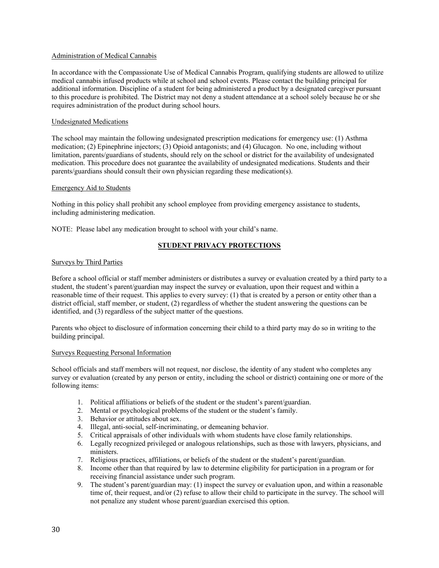#### Administration of Medical Cannabis

In accordance with the Compassionate Use of Medical Cannabis Program, qualifying students are allowed to utilize medical cannabis infused products while at school and school events. Please contact the building principal for additional information. Discipline of a student for being administered a product by a designated caregiver pursuant to this procedure is prohibited. The District may not deny a student attendance at a school solely because he or she requires administration of the product during school hours.

#### Undesignated Medications

The school may maintain the following undesignated prescription medications for emergency use: (1) Asthma medication; (2) Epinephrine injectors; (3) Opioid antagonists; and (4) Glucagon. No one, including without limitation, parents/guardians of students, should rely on the school or district for the availability of undesignated medication. This procedure does not guarantee the availability of undesignated medications. Students and their parents/guardians should consult their own physician regarding these medication(s).

#### Emergency Aid to Students

Nothing in this policy shall prohibit any school employee from providing emergency assistance to students, including administering medication.

NOTE: Please label any medication brought to school with your child's name.

#### **STUDENT PRIVACY PROTECTIONS**

#### Surveys by Third Parties

Before a school official or staff member administers or distributes a survey or evaluation created by a third party to a student, the student's parent/guardian may inspect the survey or evaluation, upon their request and within a reasonable time of their request. This applies to every survey: (1) that is created by a person or entity other than a district official, staff member, or student, (2) regardless of whether the student answering the questions can be identified, and (3) regardless of the subject matter of the questions.

Parents who object to disclosure of information concerning their child to a third party may do so in writing to the building principal.

#### Surveys Requesting Personal Information

School officials and staff members will not request, nor disclose, the identity of any student who completes any survey or evaluation (created by any person or entity, including the school or district) containing one or more of the following items:

- 1. Political affiliations or beliefs of the student or the student's parent/guardian.
- 2. Mental or psychological problems of the student or the student's family.
- 3. Behavior or attitudes about sex.
- 4. Illegal, anti-social, self-incriminating, or demeaning behavior.
- 5. Critical appraisals of other individuals with whom students have close family relationships.
- 6. Legally recognized privileged or analogous relationships, such as those with lawyers, physicians, and ministers.
- 7. Religious practices, affiliations, or beliefs of the student or the student's parent/guardian.
- 8. Income other than that required by law to determine eligibility for participation in a program or for receiving financial assistance under such program.
- 9. The student's parent/guardian may: (1) inspect the survey or evaluation upon, and within a reasonable time of, their request, and/or (2) refuse to allow their child to participate in the survey. The school will not penalize any student whose parent/guardian exercised this option.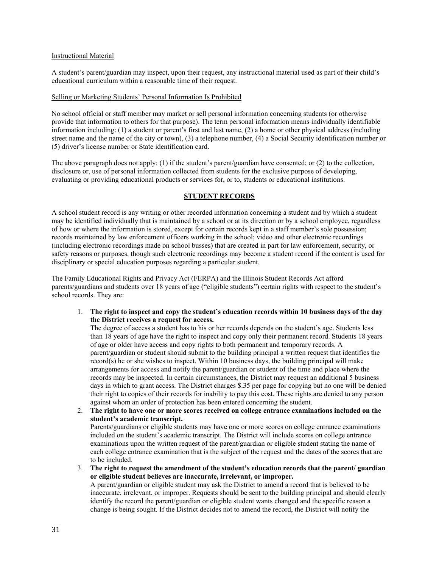#### Instructional Material

A student's parent/guardian may inspect, upon their request, any instructional material used as part of their child's educational curriculum within a reasonable time of their request.

#### Selling or Marketing Students' Personal Information Is Prohibited

No school official or staff member may market or sell personal information concerning students (or otherwise provide that information to others for that purpose). The term personal information means individually identifiable information including: (1) a student or parent's first and last name, (2) a home or other physical address (including street name and the name of the city or town), (3) a telephone number, (4) a Social Security identification number or (5) driver's license number or State identification card.

The above paragraph does not apply: (1) if the student's parent/guardian have consented; or (2) to the collection, disclosure or, use of personal information collected from students for the exclusive purpose of developing, evaluating or providing educational products or services for, or to, students or educational institutions.

#### **STUDENT RECORDS**

A school student record is any writing or other recorded information concerning a student and by which a student may be identified individually that is maintained by a school or at its direction or by a school employee, regardless of how or where the information is stored, except for certain records kept in a staff member's sole possession; records maintained by law enforcement officers working in the school; video and other electronic recordings (including electronic recordings made on school busses) that are created in part for law enforcement, security, or safety reasons or purposes, though such electronic recordings may become a student record if the content is used for disciplinary or special education purposes regarding a particular student.

The Family Educational Rights and Privacy Act (FERPA) and the Illinois Student Records Act afford parents/guardians and students over 18 years of age ("eligible students") certain rights with respect to the student's school records. They are:

1. **The right to inspect and copy the student's education records within 10 business days of the day the District receives a request for access.** 

The degree of access a student has to his or her records depends on the student's age. Students less than 18 years of age have the right to inspect and copy only their permanent record. Students 18 years of age or older have access and copy rights to both permanent and temporary records. A parent/guardian or student should submit to the building principal a written request that identifies the record(s) he or she wishes to inspect. Within 10 business days, the building principal will make arrangements for access and notify the parent/guardian or student of the time and place where the records may be inspected. In certain circumstances, the District may request an additional 5 business days in which to grant access. The District charges \$.35 per page for copying but no one will be denied their right to copies of their records for inability to pay this cost. These rights are denied to any person against whom an order of protection has been entered concerning the student.

2. **The right to have one or more scores received on college entrance examinations included on the student's academic transcript.**  Parents/guardians or eligible students may have one or more scores on college entrance examinations included on the student's academic transcript. The District will include scores on college entrance examinations upon the written request of the parent/guardian or eligible student stating the name of each college entrance examination that is the subject of the request and the dates of the scores that are to be included.

3. **The right to request the amendment of the student's education records that the parent/ guardian or eligible student believes are inaccurate, irrelevant, or improper.**  A parent/guardian or eligible student may ask the District to amend a record that is believed to be inaccurate, irrelevant, or improper. Requests should be sent to the building principal and should clearly identify the record the parent/guardian or eligible student wants changed and the specific reason a change is being sought. If the District decides not to amend the record, the District will notify the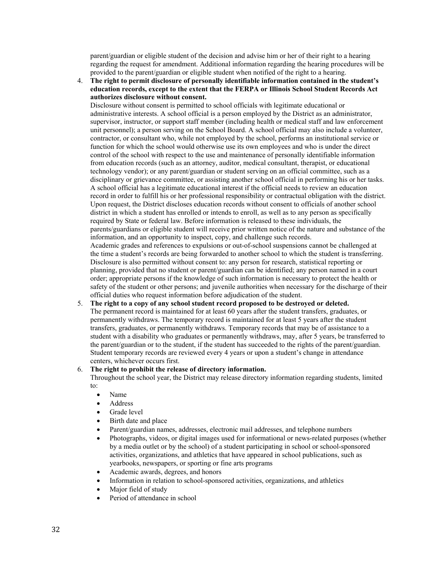parent/guardian or eligible student of the decision and advise him or her of their right to a hearing regarding the request for amendment. Additional information regarding the hearing procedures will be provided to the parent/guardian or eligible student when notified of the right to a hearing.

4. **The right to permit disclosure of personally identifiable information contained in the student's education records, except to the extent that the FERPA or Illinois School Student Records Act authorizes disclosure without consent.** 

Disclosure without consent is permitted to school officials with legitimate educational or administrative interests. A school official is a person employed by the District as an administrator, supervisor, instructor, or support staff member (including health or medical staff and law enforcement unit personnel); a person serving on the School Board. A school official may also include a volunteer, contractor, or consultant who, while not employed by the school, performs an institutional service or function for which the school would otherwise use its own employees and who is under the direct control of the school with respect to the use and maintenance of personally identifiable information from education records (such as an attorney, auditor, medical consultant, therapist, or educational technology vendor); or any parent/guardian or student serving on an official committee, such as a disciplinary or grievance committee, or assisting another school official in performing his or her tasks. A school official has a legitimate educational interest if the official needs to review an education record in order to fulfill his or her professional responsibility or contractual obligation with the district. Upon request, the District discloses education records without consent to officials of another school district in which a student has enrolled or intends to enroll, as well as to any person as specifically required by State or federal law. Before information is released to these individuals, the parents/guardians or eligible student will receive prior written notice of the nature and substance of the information, and an opportunity to inspect, copy, and challenge such records. Academic grades and references to expulsions or out-of-school suspensions cannot be challenged at the time a student's records are being forwarded to another school to which the student is transferring.

Disclosure is also permitted without consent to: any person for research, statistical reporting or planning, provided that no student or parent/guardian can be identified; any person named in a court order; appropriate persons if the knowledge of such information is necessary to protect the health or safety of the student or other persons; and juvenile authorities when necessary for the discharge of their official duties who request information before adjudication of the student.

#### 5. **The right to a copy of any school student record proposed to be destroyed or deleted.**

The permanent record is maintained for at least 60 years after the student transfers, graduates, or permanently withdraws. The temporary record is maintained for at least 5 years after the student transfers, graduates, or permanently withdraws. Temporary records that may be of assistance to a student with a disability who graduates or permanently withdraws, may, after 5 years, be transferred to the parent/guardian or to the student, if the student has succeeded to the rights of the parent/guardian. Student temporary records are reviewed every 4 years or upon a student's change in attendance centers, whichever occurs first.

#### 6. **The right to prohibit the release of directory information.**

Throughout the school year, the District may release directory information regarding students, limited to:

- Name
- Address
- Grade level
- Birth date and place
- Parent/guardian names, addresses, electronic mail addresses, and telephone numbers
- Photographs, videos, or digital images used for informational or news-related purposes (whether by a media outlet or by the school) of a student participating in school or school-sponsored activities, organizations, and athletics that have appeared in school publications, such as yearbooks, newspapers, or sporting or fine arts programs
- Academic awards, degrees, and honors
- Information in relation to school-sponsored activities, organizations, and athletics
- Major field of study
- Period of attendance in school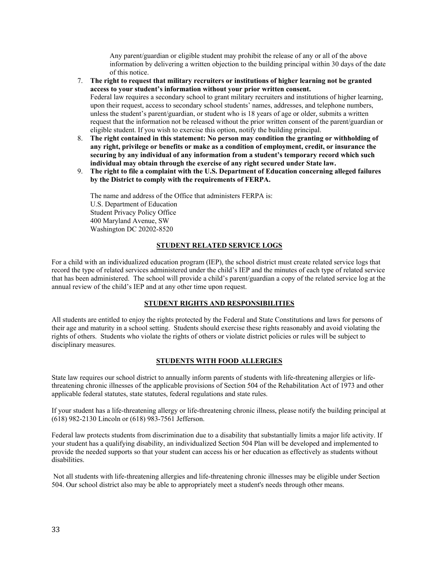Any parent/guardian or eligible student may prohibit the release of any or all of the above information by delivering a written objection to the building principal within 30 days of the date of this notice.

- 7. **The right to request that military recruiters or institutions of higher learning not be granted access to your student's information without your prior written consent.**  Federal law requires a secondary school to grant military recruiters and institutions of higher learning, upon their request, access to secondary school students' names, addresses, and telephone numbers, unless the student's parent/guardian, or student who is 18 years of age or older, submits a written request that the information not be released without the prior written consent of the parent/guardian or eligible student. If you wish to exercise this option, notify the building principal.
- 8. **The right contained in this statement: No person may condition the granting or withholding of any right, privilege or benefits or make as a condition of employment, credit, or insurance the securing by any individual of any information from a student's temporary record which such individual may obtain through the exercise of any right secured under State law.**
- 9. **The right to file a complaint with the U.S. Department of Education concerning alleged failures by the District to comply with the requirements of FERPA.**

The name and address of the Office that administers FERPA is: U.S. Department of Education Student Privacy Policy Office 400 Maryland Avenue, SW Washington DC 20202-8520

#### **STUDENT RELATED SERVICE LOGS**

For a child with an individualized education program (IEP), the school district must create related service logs that record the type of related services administered under the child's IEP and the minutes of each type of related service that has been administered. The school will provide a child's parent/guardian a copy of the related service log at the annual review of the child's IEP and at any other time upon request.

#### **STUDENT RIGHTS AND RESPONSIBILITIES**

All students are entitled to enjoy the rights protected by the Federal and State Constitutions and laws for persons of their age and maturity in a school setting. Students should exercise these rights reasonably and avoid violating the rights of others. Students who violate the rights of others or violate district policies or rules will be subject to disciplinary measures.

#### **STUDENTS WITH FOOD ALLERGIES**

State law requires our school district to annually inform parents of students with life-threatening allergies or lifethreatening chronic illnesses of the applicable provisions of Section 504 of the Rehabilitation Act of 1973 and other applicable federal statutes, state statutes, federal regulations and state rules.

If your student has a life-threatening allergy or life-threatening chronic illness, please notify the building principal at (618) 982-2130 Lincoln or (618) 983-7561 Jefferson.

Federal law protects students from discrimination due to a disability that substantially limits a major life activity. If your student has a qualifying disability, an individualized Section 504 Plan will be developed and implemented to provide the needed supports so that your student can access his or her education as effectively as students without disabilities.

 Not all students with life-threatening allergies and life-threatening chronic illnesses may be eligible under Section 504. Our school district also may be able to appropriately meet a student's needs through other means.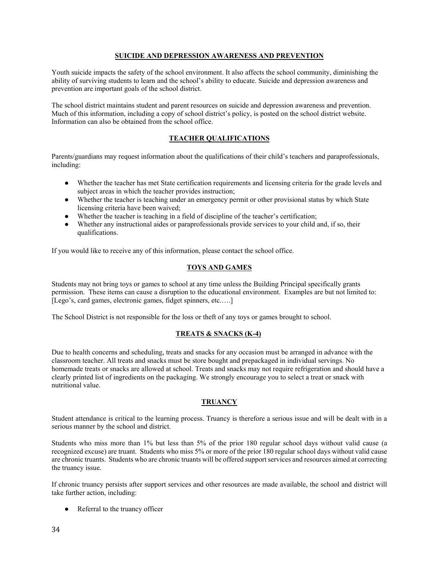#### **SUICIDE AND DEPRESSION AWARENESS AND PREVENTION**

Youth suicide impacts the safety of the school environment. It also affects the school community, diminishing the ability of surviving students to learn and the school's ability to educate. Suicide and depression awareness and prevention are important goals of the school district.

The school district maintains student and parent resources on suicide and depression awareness and prevention. Much of this information, including a copy of school district's policy, is posted on the school district website. Information can also be obtained from the school office.

#### **TEACHER QUALIFICATIONS**

Parents/guardians may request information about the qualifications of their child's teachers and paraprofessionals, including:

- Whether the teacher has met State certification requirements and licensing criteria for the grade levels and subject areas in which the teacher provides instruction;
- Whether the teacher is teaching under an emergency permit or other provisional status by which State licensing criteria have been waived;
- Whether the teacher is teaching in a field of discipline of the teacher's certification;
- Whether any instructional aides or paraprofessionals provide services to your child and, if so, their qualifications.

If you would like to receive any of this information, please contact the school office.

#### **TOYS AND GAMES**

Students may not bring toys or games to school at any time unless the Building Principal specifically grants permission. These items can cause a disruption to the educational environment. Examples are but not limited to: [Lego's, card games, electronic games, fidget spinners, etc.....]

The School District is not responsible for the loss or theft of any toys or games brought to school.

#### **TREATS & SNACKS (K-4)**

Due to health concerns and scheduling, treats and snacks for any occasion must be arranged in advance with the classroom teacher. All treats and snacks must be store bought and prepackaged in individual servings. No homemade treats or snacks are allowed at school. Treats and snacks may not require refrigeration and should have a clearly printed list of ingredients on the packaging. We strongly encourage you to select a treat or snack with nutritional value.

#### **TRUANCY**

Student attendance is critical to the learning process. Truancy is therefore a serious issue and will be dealt with in a serious manner by the school and district.

Students who miss more than 1% but less than 5% of the prior 180 regular school days without valid cause (a recognized excuse) are truant. Students who miss 5% or more of the prior 180 regular school days without valid cause are chronic truants. Students who are chronic truants will be offered support services and resources aimed at correcting the truancy issue.

If chronic truancy persists after support services and other resources are made available, the school and district will take further action, including:

• Referral to the truancy officer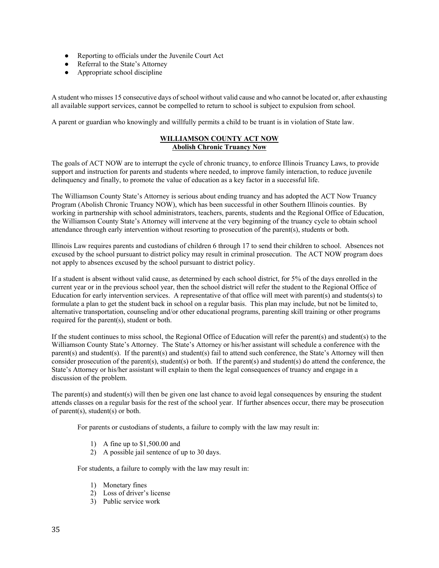- Reporting to officials under the Juvenile Court Act
- Referral to the State's Attorney
- $\bullet$  Appropriate school discipline

A student who misses 15 consecutive days of school without valid cause and who cannot be located or, after exhausting all available support services, cannot be compelled to return to school is subject to expulsion from school.

A parent or guardian who knowingly and willfully permits a child to be truant is in violation of State law.

#### **WILLIAMSON COUNTY ACT NOW Abolish Chronic Truancy Now**

The goals of ACT NOW are to interrupt the cycle of chronic truancy, to enforce Illinois Truancy Laws, to provide support and instruction for parents and students where needed, to improve family interaction, to reduce juvenile delinquency and finally, to promote the value of education as a key factor in a successful life.

The Williamson County State's Attorney is serious about ending truancy and has adopted the ACT Now Truancy Program (Abolish Chronic Truancy NOW), which has been successful in other Southern Illinois counties. By working in partnership with school administrators, teachers, parents, students and the Regional Office of Education, the Williamson County State's Attorney will intervene at the very beginning of the truancy cycle to obtain school attendance through early intervention without resorting to prosecution of the parent(s), students or both.

Illinois Law requires parents and custodians of children 6 through 17 to send their children to school. Absences not excused by the school pursuant to district policy may result in criminal prosecution. The ACT NOW program does not apply to absences excused by the school pursuant to district policy.

If a student is absent without valid cause, as determined by each school district, for 5% of the days enrolled in the current year or in the previous school year, then the school district will refer the student to the Regional Office of Education for early intervention services. A representative of that office will meet with parent(s) and students(s) to formulate a plan to get the student back in school on a regular basis. This plan may include, but not be limited to, alternative transportation, counseling and/or other educational programs, parenting skill training or other programs required for the parent(s), student or both.

If the student continues to miss school, the Regional Office of Education will refer the parent(s) and student(s) to the Williamson County State's Attorney. The State's Attorney or his/her assistant will schedule a conference with the parent(s) and student(s). If the parent(s) and student(s) fail to attend such conference, the State's Attorney will then consider prosecution of the parent(s), student(s) or both. If the parent(s) and student(s) do attend the conference, the State's Attorney or his/her assistant will explain to them the legal consequences of truancy and engage in a discussion of the problem.

The parent(s) and student(s) will then be given one last chance to avoid legal consequences by ensuring the student attends classes on a regular basis for the rest of the school year. If further absences occur, there may be prosecution of parent(s), student(s) or both.

For parents or custodians of students, a failure to comply with the law may result in:

- 1) A fine up to \$1,500.00 and
- 2) A possible jail sentence of up to 30 days.

For students, a failure to comply with the law may result in:

- 1) Monetary fines
- 2) Loss of driver's license
- 3) Public service work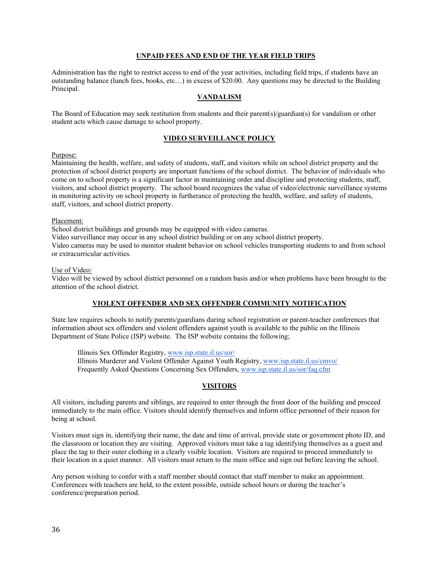#### **UNPAID FEES AND END OF THE YEAR FIELD TRIPS**

Administration has the right to restrict access to end of the year activities, including field trips, if students have an outstanding balance (lunch fees, books, etc…) in excess of \$20.00. Any questions may be directed to the Building Principal.

#### **VANDALISM**

The Board of Education may seek restitution from students and their parent(s)/guardian(s) for vandalism or other student acts which cause damage to school property.

#### **VIDEO SURVEILLANCE POLICY**

#### Purpose:

Maintaining the health, welfare, and safety of students, staff, and visitors while on school district property and the protection of school district property are important functions of the school district. The behavior of individuals who come on to school property is a significant factor in maintaining order and discipline and protecting students, staff, visitors, and school district property. The school board recognizes the value of video/electronic surveillance systems in monitoring activity on school property in furtherance of protecting the health, welfare, and safety of students, staff, visitors, and school district property.

#### Placement:

School district buildings and grounds may be equipped with video cameras.

Video surveillance may occur in any school district building or on any school district property.

Video cameras may be used to monitor student behavior on school vehicles transporting students to and from school or extracurricular activities.

#### Use of Video:

Video will be viewed by school district personnel on a random basis and/or when problems have been brought to the attention of the school district.

#### **VIOLENT OFFENDER AND SEX OFFENDER COMMUNITY NOTIFICATION**

State law requires schools to notify parents/guardians during school registration or parent-teacher conferences that information about sex offenders and violent offenders against youth is available to the public on the Illinois Department of State Police (ISP) website. The ISP website contains the following;

 Illinois Sex Offender Registry, www.isp.state.il.us/sor/ Illinois Murderer and Violent Offender Against Youth Registry, www.isp.state.il.us/cmvo/ Frequently Asked Questions Concerning Sex Offenders, www.isp.state.il.us/sor/faq.cfm

#### **VISITORS**

All visitors, including parents and siblings, are required to enter through the front door of the building and proceed immediately to the main office. Visitors should identify themselves and inform office personnel of their reason for being at school.

Visitors must sign in, identifying their name, the date and time of arrival, provide state or government photo ID, and the classroom or location they are visiting. Approved visitors must take a tag identifying themselves as a guest and place the tag to their outer clothing in a clearly visible location. Visitors are required to proceed immediately to their location in a quiet manner. All visitors must return to the main office and sign out before leaving the school.

Any person wishing to confer with a staff member should contact that staff member to make an appointment. Conferences with teachers are held, to the extent possible, outside school hours or during the teacher's conference/preparation period.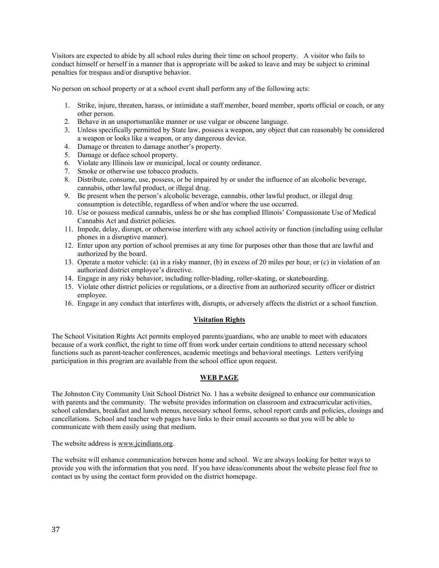Visitors are expected to abide by all school rules during their time on school property. A visitor who fails to conduct himself or herself in a manner that is appropriate will be asked to leave and may be subject to criminal penalties for trespass and/or disruptive behavior.

No person on school property or at a school event shall perform any of the following acts:

- 1. Strike, injure, threaten, harass, or intimidate a staff member, board member, sports official or coach, or any other person.
- 2. Behave in an unsportsmanlike manner or use vulgar or obscene language.
- 3. Unless specifically permitted by State law, possess a weapon, any object that can reasonably be considered a weapon or looks like a weapon, or any dangerous device.
- 4. Damage or threaten to damage another's property.
- 5. Damage or deface school property.
- 6. Violate any Illinois law or municipal, local or county ordinance.
- 7. Smoke or otherwise use tobacco products.
- 8. Distribute, consume, use, possess, or be impaired by or under the influence of an alcoholic beverage, cannabis, other lawful product, or illegal drug.
- 9. Be present when the person's alcoholic beverage, cannabis, other lawful product, or illegal drug consumption is detectible, regardless of when and/or where the use occurred.
- 10. Use or possess medical cannabis, unless he or she has complied Illinois' Compassionate Use of Medical Cannabis Act and district policies.
- 11. Impede, delay, disrupt, or otherwise interfere with any school activity or function (including using cellular phones in a disruptive manner).
- 12. Enter upon any portion of school premises at any time for purposes other than those that are lawful and authorized by the board.
- 13. Operate a motor vehicle: (a) in a risky manner, (b) in excess of 20 miles per hour, or (c) in violation of an authorized district employee's directive.
- 14. Engage in any risky behavior, including roller-blading, roller-skating, or skateboarding.
- 15. Violate other district policies or regulations, or a directive from an authorized security officer or district employee.
- 16. Engage in any conduct that interferes with, disrupts, or adversely affects the district or a school function.

#### **Visitation Rights**

The School Visitation Rights Act permits employed parents/guardians, who are unable to meet with educators because of a work conflict, the right to time off from work under certain conditions to attend necessary school functions such as parent-teacher conferences, academic meetings and behavioral meetings. Letters verifying participation in this program are available from the school office upon request.

#### **WEB PAGE**

The Johnston City Community Unit School District No. 1 has a website designed to enhance our communication with parents and the community. The website provides information on classroom and extracurricular activities, school calendars, breakfast and lunch menus, necessary school forms, school report cards and policies, closings and cancellations. School and teacher web pages have links to their email accounts so that you will be able to communicate with them easily using that medium.

The website address is www.jcindians.org.

The website will enhance communication between home and school. We are always looking for better ways to provide you with the information that you need. If you have ideas/comments about the website please feel free to contact us by using the contact form provided on the district homepage.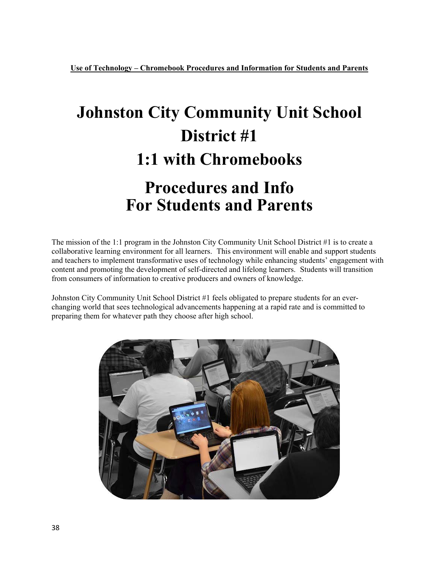# **Johnston City Community Unit School District #1 1:1 with Chromebooks Procedures and Info For Students and Parents**

The mission of the 1:1 program in the Johnston City Community Unit School District #1 is to create a collaborative learning environment for all learners. This environment will enable and support students and teachers to implement transformative uses of technology while enhancing students' engagement with content and promoting the development of self-directed and lifelong learners. Students will transition from consumers of information to creative producers and owners of knowledge.

Johnston City Community Unit School District #1 feels obligated to prepare students for an everchanging world that sees technological advancements happening at a rapid rate and is committed to preparing them for whatever path they choose after high school.

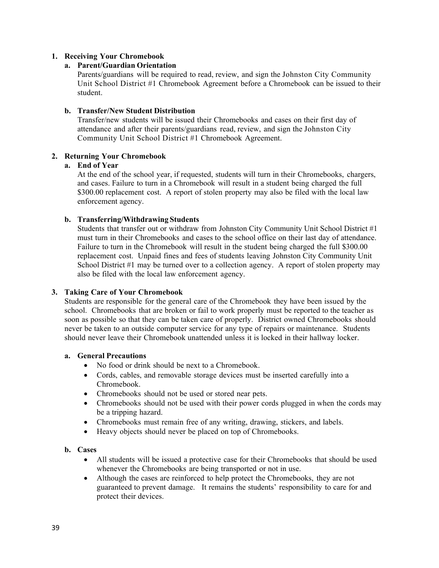#### **1. Receiving Your Chromebook**

#### **a. Parent/Guardian Orientation**

Parents/guardians will be required to read, review, and sign the Johnston City Community Unit School District #1 Chromebook Agreement before a Chromebook can be issued to their student.

#### **b. Transfer/New Student Distribution**

Transfer/new students will be issued their Chromebooks and cases on their first day of attendance and after their parents/guardians read, review, and sign the Johnston City Community Unit School District #1 Chromebook Agreement.

#### **2. Returning Your Chromebook**

#### **a. End of Year**

At the end of the school year, if requested, students will turn in their Chromebooks, chargers, and cases. Failure to turn in a Chromebook will result in a student being charged the full \$300.00 replacement cost. A report of stolen property may also be filed with the local law enforcement agency.

#### **b. Transferring/Withdrawing Students**

Students that transfer out or withdraw from Johnston City Community Unit School District #1 must turn in their Chromebooks and cases to the school office on their last day of attendance. Failure to turn in the Chromebook will result in the student being charged the full \$300.00 replacement cost. Unpaid fines and fees of students leaving Johnston City Community Unit School District #1 may be turned over to a collection agency. A report of stolen property may also be filed with the local law enforcement agency.

#### **3. Taking Care of Your Chromebook**

Students are responsible for the general care of the Chromebook they have been issued by the school. Chromebooks that are broken or fail to work properly must be reported to the teacher as soon as possible so that they can be taken care of properly. District owned Chromebooks should never be taken to an outside computer service for any type of repairs or maintenance. Students should never leave their Chromebook unattended unless it is locked in their hallway locker.

#### **a. General Precautions**

- No food or drink should be next to a Chromebook.
- Cords, cables, and removable storage devices must be inserted carefully into a Chromebook.
- Chromebooks should not be used or stored near pets.
- Chromebooks should not be used with their power cords plugged in when the cords may be a tripping hazard.
- Chromebooks must remain free of any writing, drawing, stickers, and labels.
- Heavy objects should never be placed on top of Chromebooks.

#### **b. Cases**

- All students will be issued a protective case for their Chromebooks that should be used whenever the Chromebooks are being transported or not in use.
- Although the cases are reinforced to help protect the Chromebooks, they are not guaranteed to prevent damage. It remains the students' responsibility to care for and protect their devices.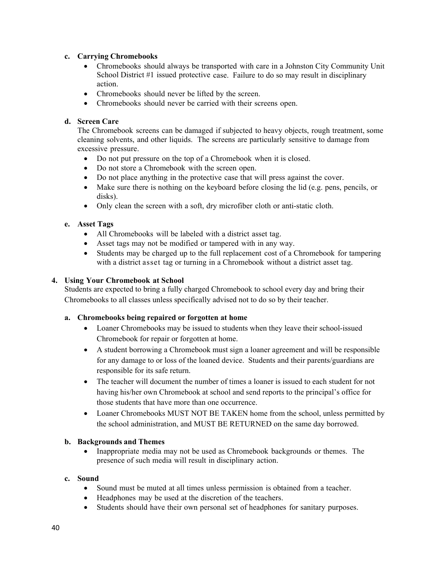#### **c. Carrying Chromebooks**

- Chromebooks should always be transported with care in a Johnston City Community Unit School District #1 issued protective case. Failure to do so may result in disciplinary action.
- Chromebooks should never be lifted by the screen.
- Chromebooks should never be carried with their screens open.

#### **d. Screen Care**

The Chromebook screens can be damaged if subjected to heavy objects, rough treatment, some cleaning solvents, and other liquids. The screens are particularly sensitive to damage from excessive pressure.

- Do not put pressure on the top of a Chromebook when it is closed.
- Do not store a Chromebook with the screen open.
- Do not place anything in the protective case that will press against the cover.
- Make sure there is nothing on the keyboard before closing the lid (e.g. pens, pencils, or disks).
- Only clean the screen with a soft, dry microfiber cloth or anti-static cloth.

#### **e. Asset Tags**

- All Chromebooks will be labeled with a district asset tag.
- Asset tags may not be modified or tampered with in any way.
- Students may be charged up to the full replacement cost of a Chromebook for tampering with a district asset tag or turning in a Chromebook without a district asset tag.

#### **4. Using Your Chromebook at School**

Students are expected to bring a fully charged Chromebook to school every day and bring their Chromebooks to all classes unless specifically advised not to do so by their teacher.

#### **a. Chromebooks being repaired or forgotten at home**

- Loaner Chromebooks may be issued to students when they leave their school-issued Chromebook for repair or forgotten at home.
- A student borrowing a Chromebook must sign a loaner agreement and will be responsible for any damage to or loss of the loaned device. Students and their parents/guardians are responsible for its safe return.
- The teacher will document the number of times a loaner is issued to each student for not having his/her own Chromebook at school and send reports to the principal's office for those students that have more than one occurrence.
- Loaner Chromebooks MUST NOT BE TAKEN home from the school, unless permitted by the school administration, and MUST BE RETURNED on the same day borrowed.

#### **b. Backgrounds and Themes**

• Inappropriate media may not be used as Chromebook backgrounds or themes. The presence of such media will result in disciplinary action.

#### **c. Sound**

- Sound must be muted at all times unless permission is obtained from a teacher.
- Headphones may be used at the discretion of the teachers.
- Students should have their own personal set of headphones for sanitary purposes.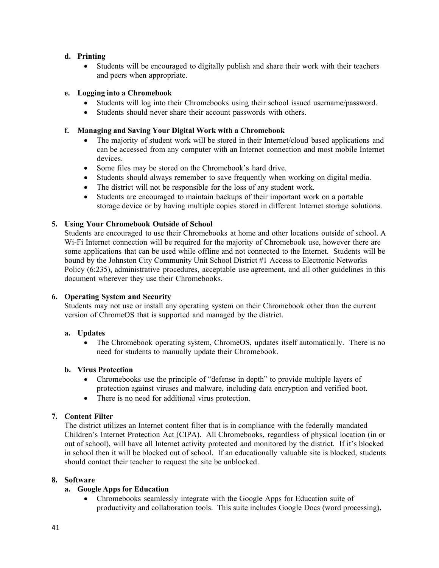#### **d. Printing**

 Students will be encouraged to digitally publish and share their work with their teachers and peers when appropriate.

#### **e. Logging into a Chromebook**

- Students will log into their Chromebooks using their school issued username/password.
- Students should never share their account passwords with others.

#### **f. Managing and Saving Your Digital Work with a Chromebook**

- The majority of student work will be stored in their Internet/cloud based applications and can be accessed from any computer with an Internet connection and most mobile Internet devices.
- Some files may be stored on the Chromebook's hard drive.
- Students should always remember to save frequently when working on digital media.
- The district will not be responsible for the loss of any student work.
- Students are encouraged to maintain backups of their important work on a portable storage device or by having multiple copies stored in different Internet storage solutions.

#### **5. Using Your Chromebook Outside of School**

Students are encouraged to use their Chromebooks at home and other locations outside of school. A Wi-Fi Internet connection will be required for the majority of Chromebook use, however there are some applications that can be used while offline and not connected to the Internet. Students will be bound by the Johnston City Community Unit School District #1 Access to Electronic Networks Policy (6:235), administrative procedures, acceptable use agreement, and all other guidelines in this document wherever they use their Chromebooks.

#### **6. Operating System and Security**

Students may not use or install any operating system on their Chromebook other than the current version of ChromeOS that is supported and managed by the district.

#### **a. Updates**

• The Chromebook operating system, ChromeOS, updates itself automatically. There is no need for students to manually update their Chromebook.

#### **b. Virus Protection**

- Chromebooks use the principle of "defense in depth" to provide multiple layers of protection against viruses and malware, including data encryption and verified boot.
- There is no need for additional virus protection.

#### **7. Content Filter**

The district utilizes an Internet content filter that is in compliance with the federally mandated Children's Internet Protection Act (CIPA). All Chromebooks, regardless of physical location (in or out of school), will have all Internet activity protected and monitored by the district. If it's blocked in school then it will be blocked out of school. If an educationally valuable site is blocked, students should contact their teacher to request the site be unblocked.

#### **8. Software**

#### **a. Google Apps for Education**

 Chromebooks seamlessly integrate with the Google Apps for Education suite of productivity and collaboration tools. This suite includes Google Docs (word processing),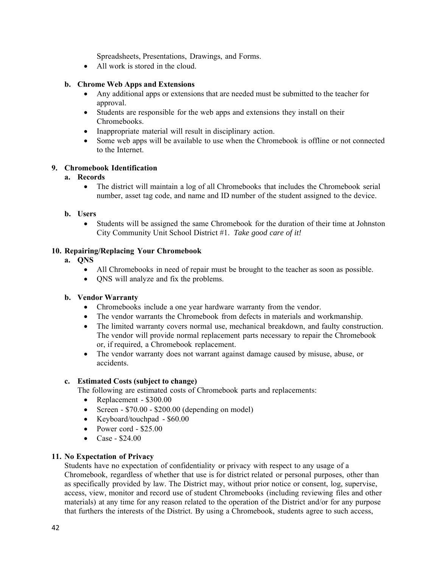Spreadsheets, Presentations, Drawings, and Forms.

• All work is stored in the cloud.

#### **b. Chrome Web Apps and Extensions**

- Any additional apps or extensions that are needed must be submitted to the teacher for approval.
- Students are responsible for the web apps and extensions they install on their Chromebooks.
- Inappropriate material will result in disciplinary action.
- Some web apps will be available to use when the Chromebook is offline or not connected to the Internet.

#### **9. Chromebook Identification**

#### **a. Records**

 The district will maintain a log of all Chromebooks that includes the Chromebook serial number, asset tag code, and name and ID number of the student assigned to the device.

#### **b. Users**

 Students will be assigned the same Chromebook for the duration of their time at Johnston City Community Unit School District #1. *Take good care of it!*

#### **10. Repairing/Replacing Your Chromebook**

- **a. QNS**
	- All Chromebooks in need of repair must be brought to the teacher as soon as possible.
	- QNS will analyze and fix the problems.

#### **b. Vendor Warranty**

- Chromebooks include a one year hardware warranty from the vendor.
- The vendor warrants the Chromebook from defects in materials and workmanship.
- The limited warranty covers normal use, mechanical breakdown, and faulty construction. The vendor will provide normal replacement parts necessary to repair the Chromebook or, if required, a Chromebook replacement.
- The vendor warranty does not warrant against damage caused by misuse, abuse, or accidents.

#### **c. Estimated Costs (subject to change)**

The following are estimated costs of Chromebook parts and replacements:

- Replacement \$300.00
- Screen  $$70.00 $200.00$  (depending on model)
- Keyboard/touchpad \$60.00
- Power cord  $$25.00$
- Case \$24.00

#### **11. No Expectation of Privacy**

Students have no expectation of confidentiality or privacy with respect to any usage of a Chromebook, regardless of whether that use is for district related or personal purposes, other than as specifically provided by law. The District may, without prior notice or consent, log, supervise, access, view, monitor and record use of student Chromebooks (including reviewing files and other materials) at any time for any reason related to the operation of the District and/or for any purpose that furthers the interests of the District. By using a Chromebook, students agree to such access,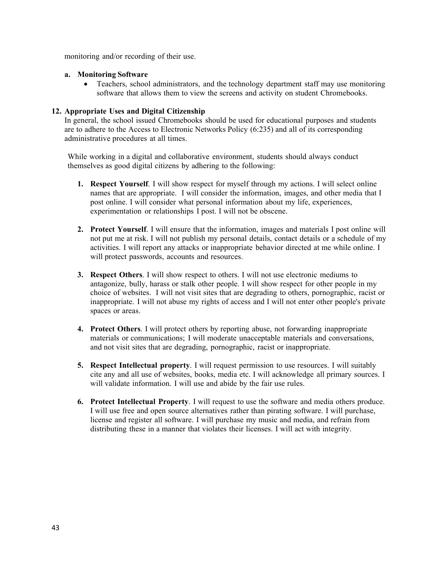monitoring and/or recording of their use.

#### **a. Monitoring Software**

• Teachers, school administrators, and the technology department staff may use monitoring software that allows them to view the screens and activity on student Chromebooks.

#### **12. Appropriate Uses and Digital Citizenship**

In general, the school issued Chromebooks should be used for educational purposes and students are to adhere to the Access to Electronic Networks Policy (6:235) and all of its corresponding administrative procedures at all times.

While working in a digital and collaborative environment, students should always conduct themselves as good digital citizens by adhering to the following:

- **1. Respect Yourself**. I will show respect for myself through my actions. I will select online names that are appropriate. I will consider the information, images, and other media that I post online. I will consider what personal information about my life, experiences, experimentation or relationships I post. I will not be obscene.
- **2. Protect Yourself**. I will ensure that the information, images and materials I post online will not put me at risk. I will not publish my personal details, contact details or a schedule of my activities. I will report any attacks or inappropriate behavior directed at me while online. I will protect passwords, accounts and resources.
- **3. Respect Others**. I will show respect to others. I will not use electronic mediums to antagonize, bully, harass or stalk other people. I will show respect for other people in my choice of websites. I will not visit sites that are degrading to others, pornographic, racist or inappropriate. I will not abuse my rights of access and I will not enter other people's private spaces or areas.
- **4. Protect Others**. I will protect others by reporting abuse, not forwarding inappropriate materials or communications; I will moderate unacceptable materials and conversations, and not visit sites that are degrading, pornographic, racist or inappropriate.
- **5. Respect Intellectual property**. I will request permission to use resources. I will suitably cite any and all use of websites, books, media etc. I will acknowledge all primary sources. I will validate information. I will use and abide by the fair use rules.
- **6. Protect Intellectual Property**. I will request to use the software and media others produce. I will use free and open source alternatives rather than pirating software. I will purchase, license and register all software. I will purchase my music and media, and refrain from distributing these in a manner that violates their licenses. I will act with integrity.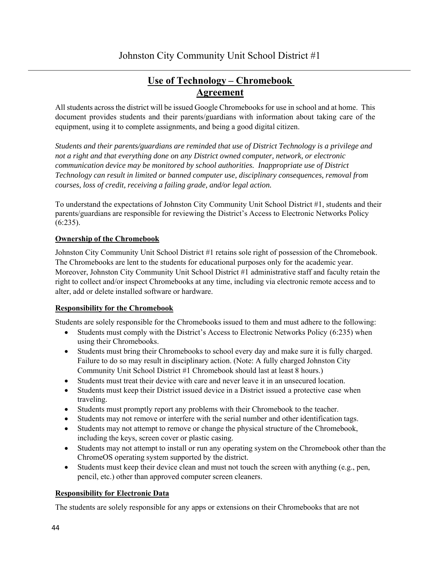### **Use of Technology – Chromebook Agreement**

All students across the district will be issued Google Chromebooks for use in school and at home. This document provides students and their parents/guardians with information about taking care of the equipment, using it to complete assignments, and being a good digital citizen.

*Students and their parents/guardians are reminded that use of District Technology is a privilege and not a right and that everything done on any District owned computer, network, or electronic communication device may be monitored by school authorities. Inappropriate use of District Technology can result in limited or banned computer use, disciplinary consequences, removal from courses, loss of credit, receiving a failing grade, and/or legal action.*

To understand the expectations of Johnston City Community Unit School District #1, students and their parents/guardians are responsible for reviewing the District's Access to Electronic Networks Policy (6:235).

### **Ownership of the Chromebook**

Johnston City Community Unit School District #1 retains sole right of possession of the Chromebook. The Chromebooks are lent to the students for educational purposes only for the academic year. Moreover, Johnston City Community Unit School District #1 administrative staff and faculty retain the right to collect and/or inspect Chromebooks at any time, including via electronic remote access and to alter, add or delete installed software or hardware.

#### **Responsibility for the Chromebook**

Students are solely responsible for the Chromebooks issued to them and must adhere to the following:

- Students must comply with the District's Access to Electronic Networks Policy (6:235) when using their Chromebooks.
- Students must bring their Chromebooks to school every day and make sure it is fully charged. Failure to do so may result in disciplinary action. (Note: A fully charged Johnston City Community Unit School District #1 Chromebook should last at least 8 hours.)
- Students must treat their device with care and never leave it in an unsecured location.
- Students must keep their District issued device in a District issued a protective case when traveling.
- Students must promptly report any problems with their Chromebook to the teacher.
- Students may not remove or interfere with the serial number and other identification tags.
- Students may not attempt to remove or change the physical structure of the Chromebook, including the keys, screen cover or plastic casing.
- Students may not attempt to install or run any operating system on the Chromebook other than the ChromeOS operating system supported by the district.
- $\bullet$  Students must keep their device clean and must not touch the screen with anything (e.g., pen, pencil, etc.) other than approved computer screen cleaners.

#### **Responsibility for Electronic Data**

The students are solely responsible for any apps or extensions on their Chromebooks that are not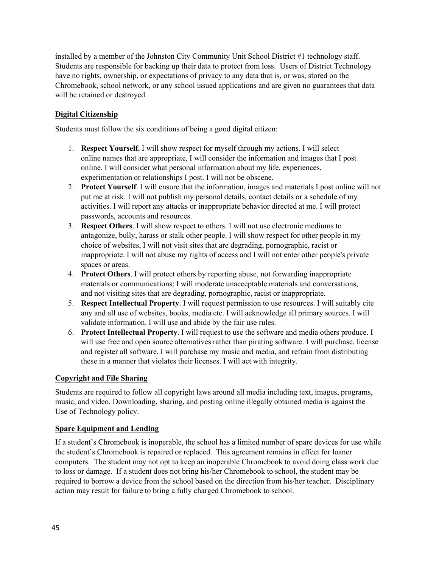installed by a member of the Johnston City Community Unit School District #1 technology staff. Students are responsible for backing up their data to protect from loss. Users of District Technology have no rights, ownership, or expectations of privacy to any data that is, or was, stored on the Chromebook, school network, or any school issued applications and are given no guarantees that data will be retained or destroyed.

#### **Digital Citizenship**

Students must follow the six conditions of being a good digital citizen:

- 1. **Respect Yourself.** I will show respect for myself through my actions. I will select online names that are appropriate, I will consider the information and images that I post online. I will consider what personal information about my life, experiences, experimentation or relationships I post. I will not be obscene.
- 2. **Protect Yourself**. I will ensure that the information, images and materials I post online will not put me at risk. I will not publish my personal details, contact details or a schedule of my activities. I will report any attacks or inappropriate behavior directed at me. I will protect passwords, accounts and resources.
- 3. **Respect Others**. I will show respect to others. I will not use electronic mediums to antagonize, bully, harass or stalk other people. I will show respect for other people in my choice of websites, I will not visit sites that are degrading, pornographic, racist or inappropriate. I will not abuse my rights of access and I will not enter other people's private spaces or areas.
- 4. **Protect Others**. I will protect others by reporting abuse, not forwarding inappropriate materials or communications; I will moderate unacceptable materials and conversations, and not visiting sites that are degrading, pornographic, racist or inappropriate.
- 5. **Respect Intellectual Property**. I will request permission to use resources. I will suitably cite any and all use of websites, books, media etc. I will acknowledge all primary sources. I will validate information. I will use and abide by the fair use rules.
- 6. **Protect Intellectual Property**. I will request to use the software and media others produce. I will use free and open source alternatives rather than pirating software. I will purchase, license and register all software. I will purchase my music and media, and refrain from distributing these in a manner that violates their licenses. I will act with integrity.

#### **Copyright and File Sharing**

Students are required to follow all copyright laws around all media including text, images, programs, music, and video. Downloading, sharing, and posting online illegally obtained media is against the Use of Technology policy.

#### **Spare Equipment and Lending**

If a student's Chromebook is inoperable, the school has a limited number of spare devices for use while the student's Chromebook is repaired or replaced. This agreement remains in effect for loaner computers. The student may not opt to keep an inoperable Chromebook to avoid doing class work due to loss or damage. If a student does not bring his/her Chromebook to school, the student may be required to borrow a device from the school based on the direction from his/her teacher. Disciplinary action may result for failure to bring a fully charged Chromebook to school.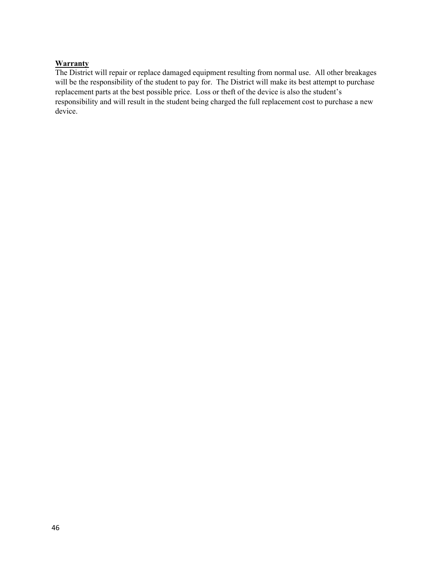#### **Warranty**

The District will repair or replace damaged equipment resulting from normal use. All other breakages will be the responsibility of the student to pay for. The District will make its best attempt to purchase replacement parts at the best possible price. Loss or theft of the device is also the student's responsibility and will result in the student being charged the full replacement cost to purchase a new device.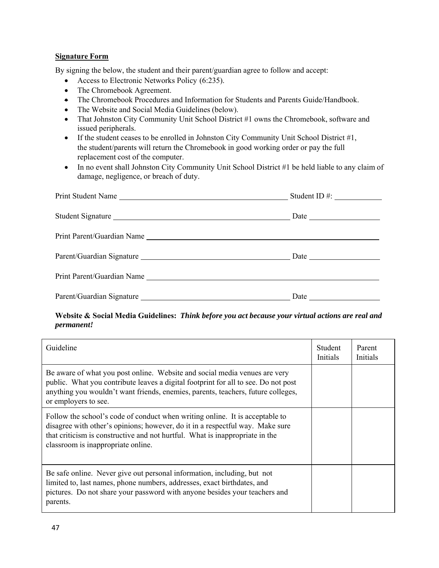#### **Signature Form**

By signing the below, the student and their parent/guardian agree to follow and accept:

- Access to Electronic Networks Policy (6:235).
- The Chromebook Agreement.
- The Chromebook Procedures and Information for Students and Parents Guide/Handbook.
- The Website and Social Media Guidelines (below).
- That Johnston City Community Unit School District #1 owns the Chromebook, software and issued peripherals.
- If the student ceases to be enrolled in Johnston City Community Unit School District #1, the student/parents will return the Chromebook in good working order or pay the full replacement cost of the computer.
- In no event shall Johnston City Community Unit School District #1 be held liable to any claim of damage, negligence, or breach of duty.

| Print Student Name         |                      |
|----------------------------|----------------------|
|                            |                      |
| Student Signature          |                      |
| Print Parent/Guardian Name |                      |
|                            |                      |
|                            |                      |
|                            | Date $\qquad \qquad$ |

#### **Website & Social Media Guidelines:** *Think before you act because your virtual actions are real and permanent!*

| Guideline                                                                                                                                                                                                                                                                           | Student<br>Initials | Parent<br>Initials |
|-------------------------------------------------------------------------------------------------------------------------------------------------------------------------------------------------------------------------------------------------------------------------------------|---------------------|--------------------|
| Be aware of what you post online. Website and social media venues are very<br>public. What you contribute leaves a digital footprint for all to see. Do not post<br>anything you wouldn't want friends, enemies, parents, teachers, future colleges,<br>or employers to see.        |                     |                    |
| Follow the school's code of conduct when writing online. It is acceptable to<br>disagree with other's opinions; however, do it in a respectful way. Make sure<br>that criticism is constructive and not hurtful. What is inappropriate in the<br>classroom is inappropriate online. |                     |                    |
| Be safe online. Never give out personal information, including, but not<br>limited to, last names, phone numbers, addresses, exact birthdates, and<br>pictures. Do not share your password with anyone besides your teachers and<br>parents.                                        |                     |                    |